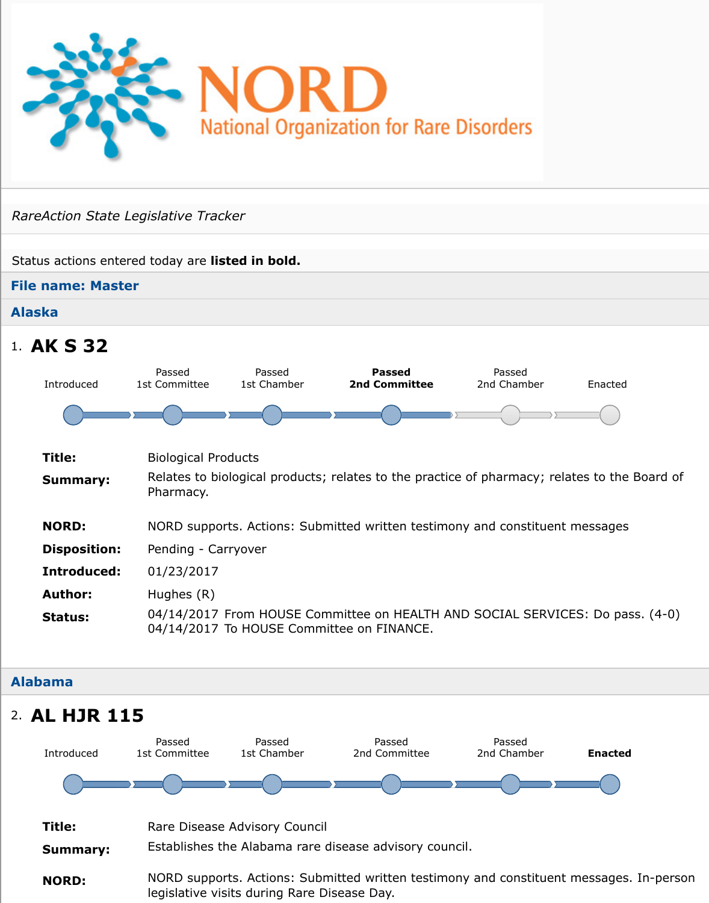## **Alaska**

## 1. **AK S 32**



#### **Alabama**

## 2. **AL HJR 115**

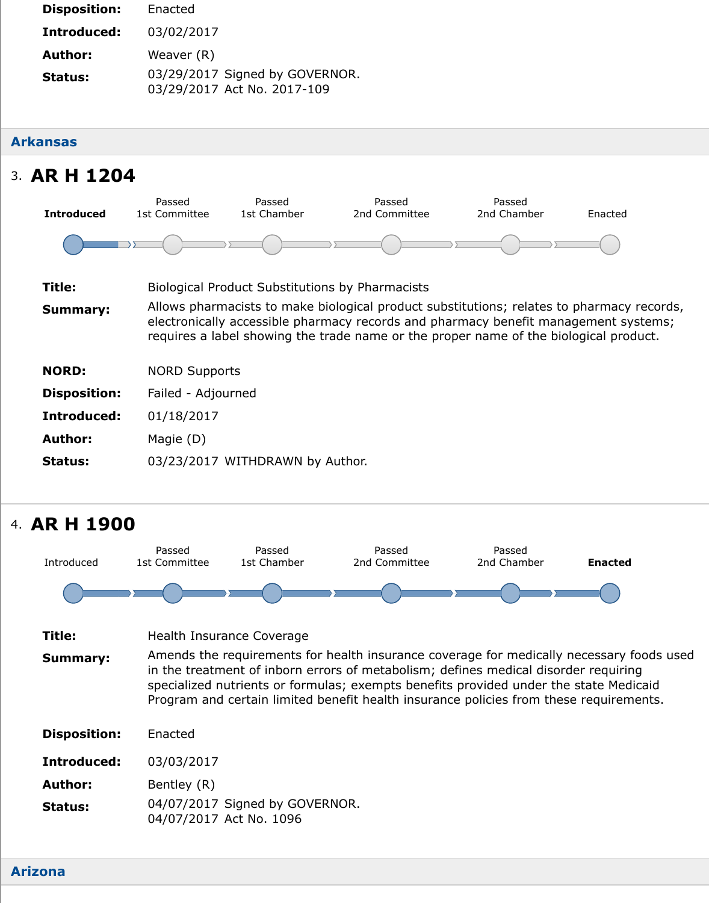#### **Arkansas**

# 3. **AR H 1204**

| <b>Introduced</b>   | Passed<br>1st Committee | Passed<br>1st Chamber                                  | Passed<br>2nd Committee                                                                                                                                                                                                                  | Passed<br>2nd Chamber | Ena |
|---------------------|-------------------------|--------------------------------------------------------|------------------------------------------------------------------------------------------------------------------------------------------------------------------------------------------------------------------------------------------|-----------------------|-----|
|                     |                         |                                                        |                                                                                                                                                                                                                                          |                       |     |
| Title:              |                         | <b>Biological Product Substitutions by Pharmacists</b> |                                                                                                                                                                                                                                          |                       |     |
| <b>Summary:</b>     |                         |                                                        | Allows pharmacists to make biological product substitutions; relates to pharm<br>electronically accessible pharmacy records and pharmacy benefit manageme<br>requires a label showing the trade name or the proper name of the biologica |                       |     |
| <b>NORD:</b>        | <b>NORD Supports</b>    |                                                        |                                                                                                                                                                                                                                          |                       |     |
| <b>Disposition:</b> | Failed - Adjourned      |                                                        |                                                                                                                                                                                                                                          |                       |     |
| Introduced:         | 01/18/2017              |                                                        |                                                                                                                                                                                                                                          |                       |     |
| <b>Author:</b>      | Magie (D)               |                                                        |                                                                                                                                                                                                                                          |                       |     |
| <b>Status:</b>      |                         | 03/23/2017 WITHDRAWN by Author.                        |                                                                                                                                                                                                                                          |                       |     |
|                     |                         |                                                        |                                                                                                                                                                                                                                          |                       |     |

## 4. **AR H 1900**



#### **Arizona**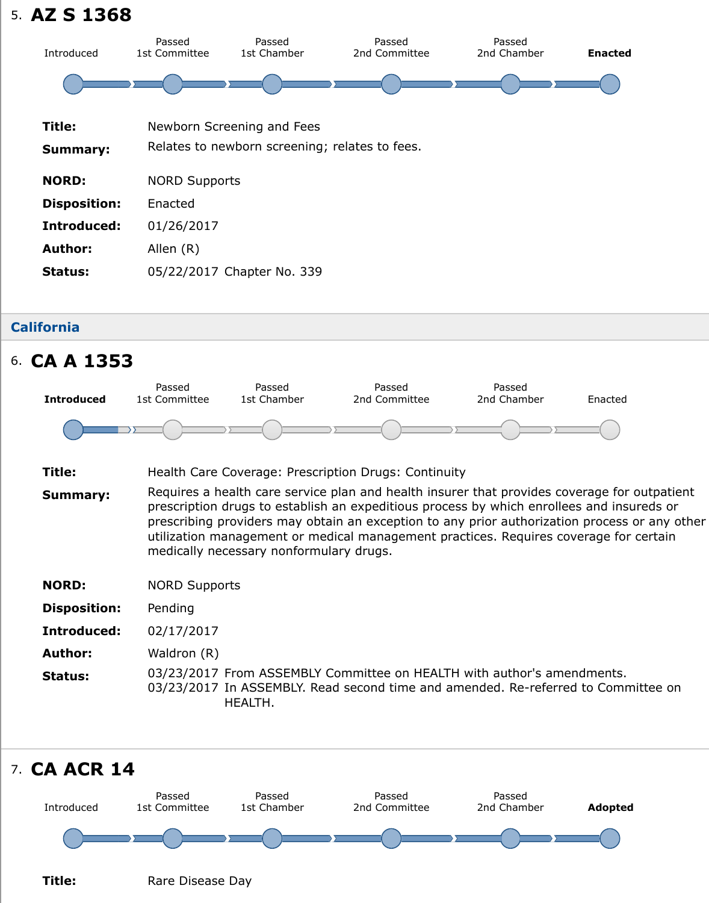| Title:              | Newborn Screening and Fees                     |
|---------------------|------------------------------------------------|
| <b>Summary:</b>     | Relates to newborn screening; relates to fees. |
| <b>NORD:</b>        | <b>NORD Supports</b>                           |
| <b>Disposition:</b> | Enacted                                        |
| Introduced:         | 01/26/2017                                     |
| <b>Author:</b>      | Allen (R)                                      |
| <b>Status:</b>      | 05/22/2017 Chapter No. 339                     |
|                     |                                                |

## **California**



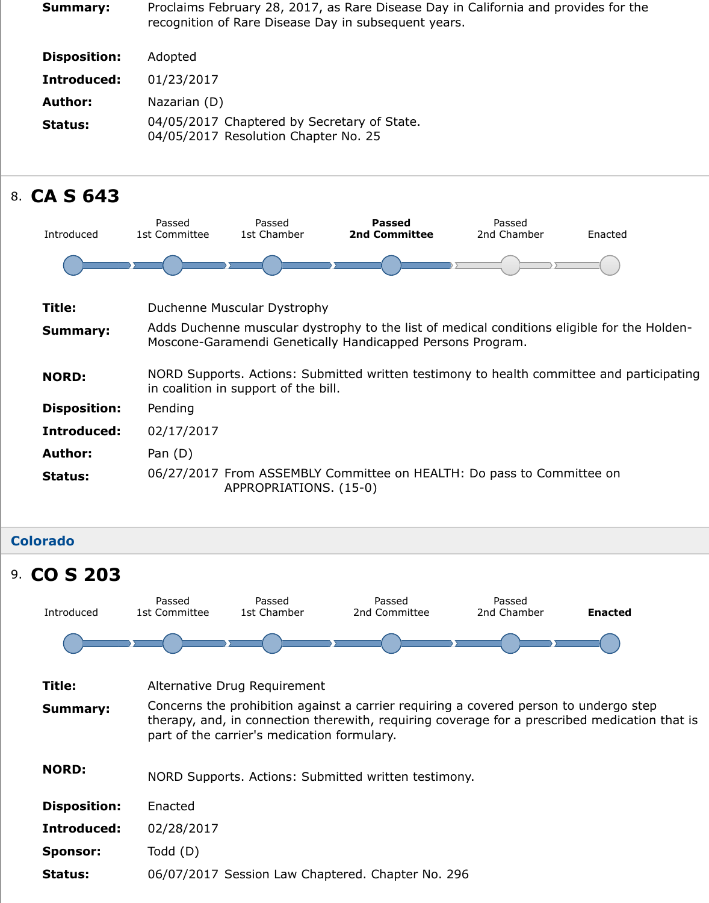**Status:** 04/05/2017 Chaptered by Secretary of State. 04/05/2017 Resolution Chapter No. 25

# 8. **CA S 643**



## **Colorado Title:** Alternative Drug Requirement **Summary:** Concerns the prohibition against a carrier requiring a covered person to undergo steps. therapy, and, in connection therewith, requiring coverage for a prescribed medication part of the carrier's medication formulary. **NORD:** NORD Supports. Actions: Submitted written testimony. **Disposition:** Enacted **Introduced:** 02/28/2017 **Sponsor:** Todd (D) **Status:** 06/07/2017 Session Law Chaptered. Chapter No. 296 9. **CO S 203** Introduced Passed 1st Committee Passed 1st Chamber Passed 2nd Committee Passed 2nd Chamber **En**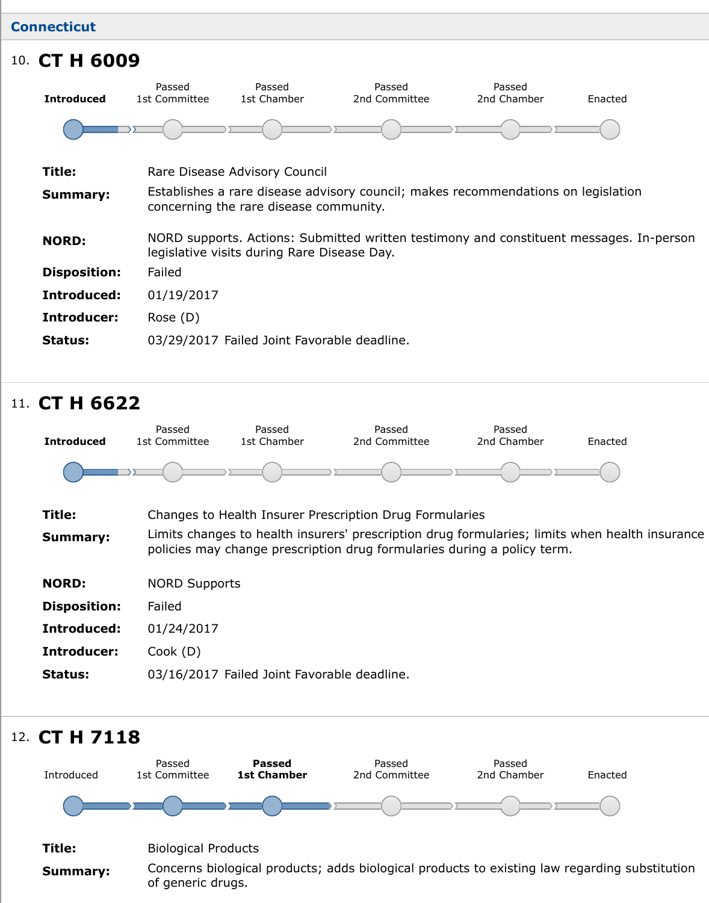| Title:              | Rare Disease Advisory Council                                                                                            |
|---------------------|--------------------------------------------------------------------------------------------------------------------------|
| <b>Summary:</b>     | Establishes a rare disease advisory council; makes recommendations on legi<br>concerning the rare disease community.     |
| <b>NORD:</b>        | NORD supports. Actions: Submitted written testimony and constituent messi<br>legislative visits during Rare Disease Day. |
| <b>Disposition:</b> | Failed                                                                                                                   |
| Introduced:         | 01/19/2017                                                                                                               |
| Introducer:         | Rose $(D)$                                                                                                               |
| <b>Status:</b>      | 03/29/2017 Failed Joint Favorable deadline.                                                                              |
|                     |                                                                                                                          |

# 11. **CT H 6622**



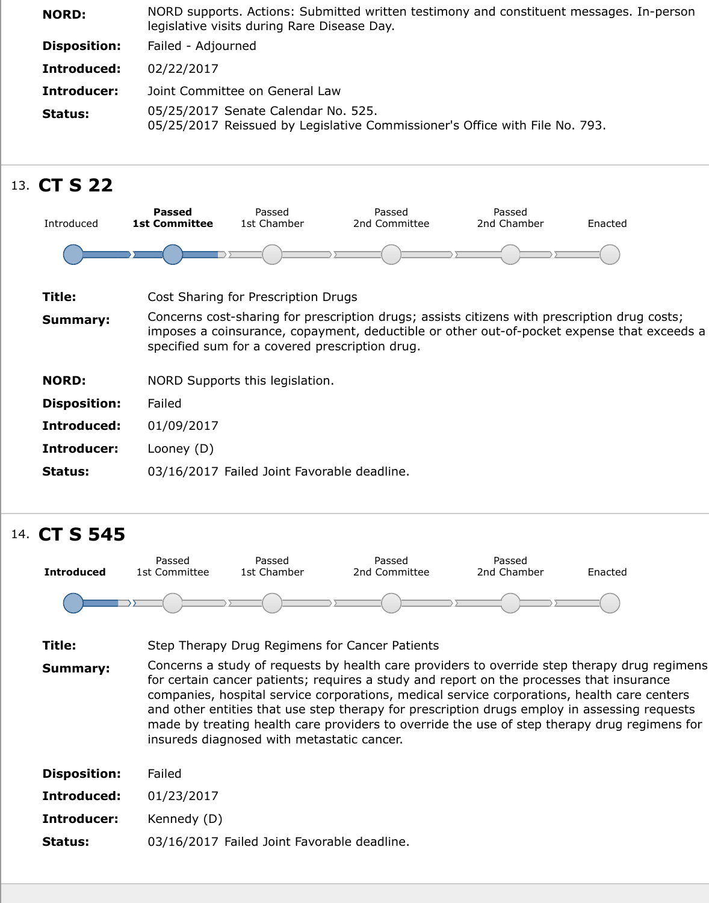

# 14. **CT S 545**

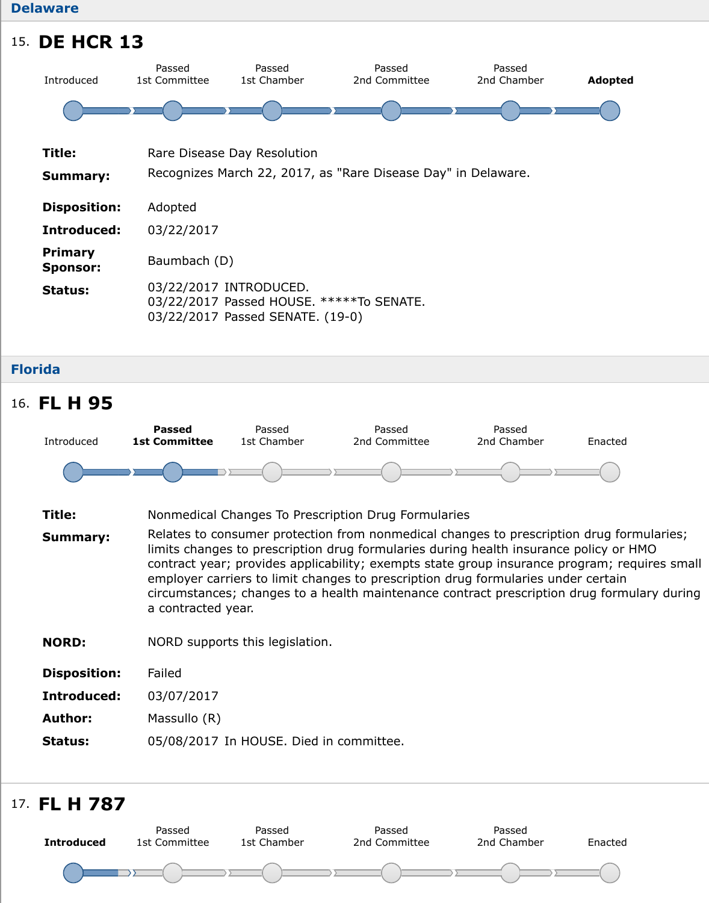| Title:                            | Rare Disease Day Resolution                                                                            |
|-----------------------------------|--------------------------------------------------------------------------------------------------------|
| <b>Summary:</b>                   | Recognizes March 22, 2017, as "Rare Disease Day" in Delaware.                                          |
| <b>Disposition:</b>               | Adopted                                                                                                |
| Introduced:                       | 03/22/2017                                                                                             |
| <b>Primary</b><br><b>Sponsor:</b> | Baumbach (D)                                                                                           |
| <b>Status:</b>                    | 03/22/2017 INTRODUCED.<br>03/22/2017 Passed HOUSE. *****To SENATE.<br>03/22/2017 Passed SENATE. (19-0) |

**Florida**



- **Title:** Nonmedical Changes To Prescription Drug Formularies
- **Summary:** Relates to consumer protection from nonmedical changes to prescription drug limits changes to prescription drug formularies during health insurance polic contract year; provides applicability; exempts state group insurance progran employer carriers to limit changes to prescription drug formularies under certain circumstances; changes to a health maintenance contract prescription drug formula a contracted year.
- **NORD:** NORD supports this legislation.

| <b>Disposition:</b> | Failed |
|---------------------|--------|
|---------------------|--------|

- **Introduced:** 03/07/2017
- **Author:** Massullo (R)
- **Status:** 05/08/2017 In HOUSE. Died in committee.

# 17. **FL H 787**

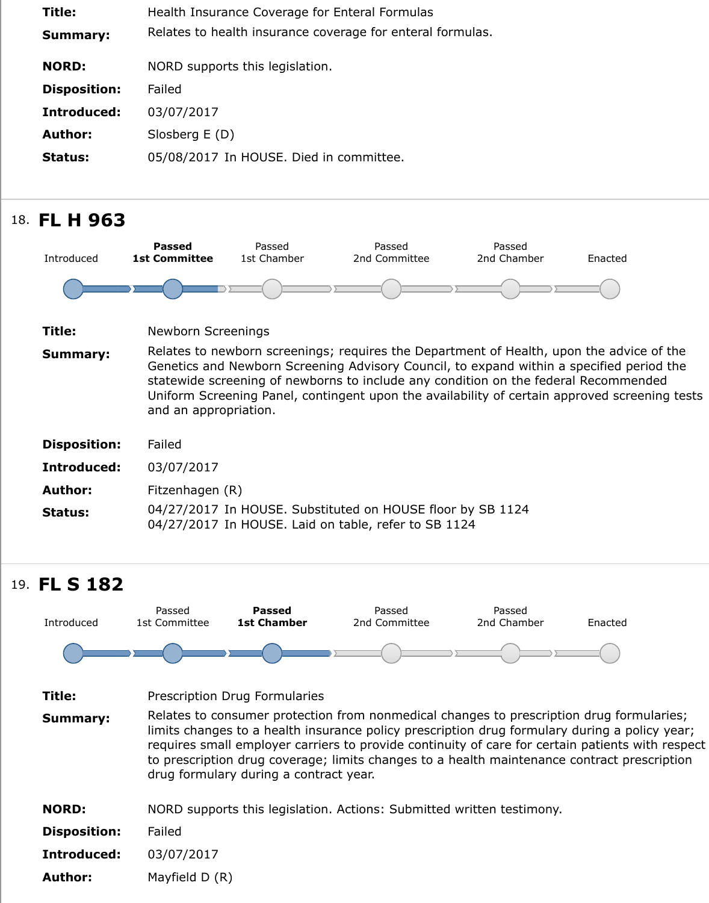| <b>Author:</b>      | Slosberg E (D)                        |                                         |                                                                                                                                                                                                                                                                                                                          |                       |     |
|---------------------|---------------------------------------|-----------------------------------------|--------------------------------------------------------------------------------------------------------------------------------------------------------------------------------------------------------------------------------------------------------------------------------------------------------------------------|-----------------------|-----|
| <b>Status:</b>      |                                       | 05/08/2017 In HOUSE. Died in committee. |                                                                                                                                                                                                                                                                                                                          |                       |     |
|                     |                                       |                                         |                                                                                                                                                                                                                                                                                                                          |                       |     |
| 18. FL H 963        |                                       |                                         |                                                                                                                                                                                                                                                                                                                          |                       |     |
| Introduced          | <b>Passed</b><br><b>1st Committee</b> | Passed<br>1st Chamber                   | Passed<br>2nd Committee                                                                                                                                                                                                                                                                                                  | Passed<br>2nd Chamber | Ena |
|                     |                                       |                                         |                                                                                                                                                                                                                                                                                                                          |                       |     |
|                     |                                       |                                         |                                                                                                                                                                                                                                                                                                                          |                       |     |
| Title:              | <b>Newborn Screenings</b>             |                                         |                                                                                                                                                                                                                                                                                                                          |                       |     |
| <b>Summary:</b>     | and an appropriation.                 |                                         | Relates to newborn screenings; requires the Department of Health, upon the<br>Genetics and Newborn Screening Advisory Council, to expand within a specif<br>statewide screening of newborns to include any condition on the federal Reco<br>Uniform Screening Panel, contingent upon the availability of certain approve |                       |     |
| <b>Disposition:</b> | Failed                                |                                         |                                                                                                                                                                                                                                                                                                                          |                       |     |
| Introduced:         | 03/07/2017                            |                                         |                                                                                                                                                                                                                                                                                                                          |                       |     |
| Author:             | Fitzenhagen (R)                       |                                         |                                                                                                                                                                                                                                                                                                                          |                       |     |
| <b>Status:</b>      |                                       |                                         | 04/27/2017 In HOUSE. Substituted on HOUSE floor by SB 1124<br>04/27/2017 In HOUSE. Laid on table, refer to SB 1124                                                                                                                                                                                                       |                       |     |

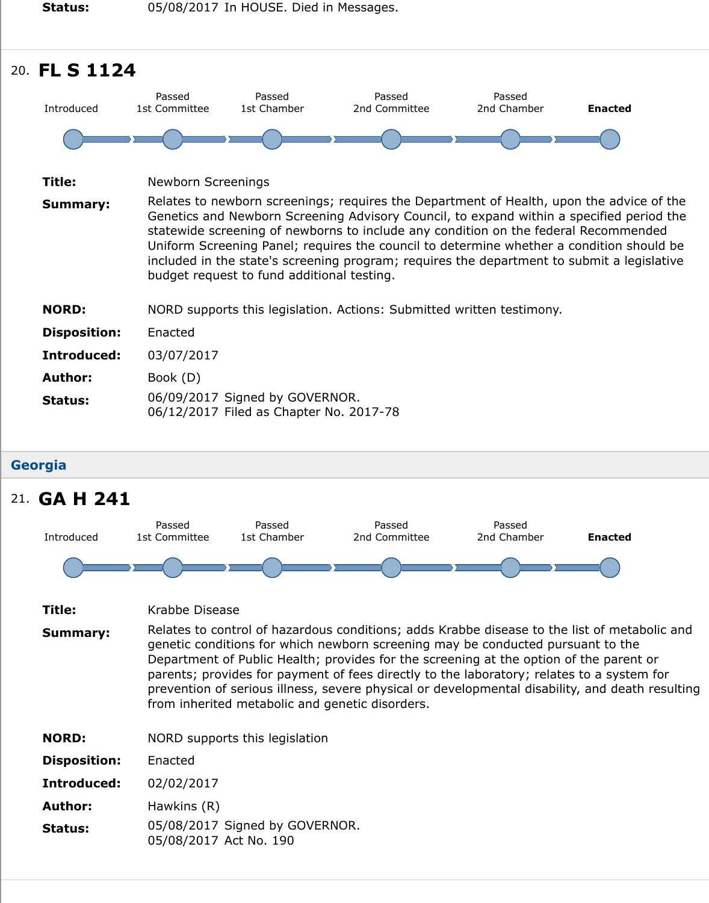| Newborn Screenings                                                                                                                                                                                                                                                                                                                                                                                                                                  |
|-----------------------------------------------------------------------------------------------------------------------------------------------------------------------------------------------------------------------------------------------------------------------------------------------------------------------------------------------------------------------------------------------------------------------------------------------------|
| Relates to newborn screenings; requires the Department of Health, upon the<br>Genetics and Newborn Screening Advisory Council, to expand within a specif<br>statewide screening of newborns to include any condition on the federal Rec<br>Uniform Screening Panel; requires the council to determine whether a condit<br>included in the state's screening program; requires the department to submi<br>budget request to fund additional testing. |
| NORD supports this legislation. Actions: Submitted written testimony.                                                                                                                                                                                                                                                                                                                                                                               |
| Enacted                                                                                                                                                                                                                                                                                                                                                                                                                                             |
| 03/07/2017                                                                                                                                                                                                                                                                                                                                                                                                                                          |
| Book (D)                                                                                                                                                                                                                                                                                                                                                                                                                                            |
| 06/09/2017 Signed by GOVERNOR.<br>06/12/2017 Filed as Chapter No. 2017-78                                                                                                                                                                                                                                                                                                                                                                           |
|                                                                                                                                                                                                                                                                                                                                                                                                                                                     |

### **Georgia**

## 21. **GA H 241**

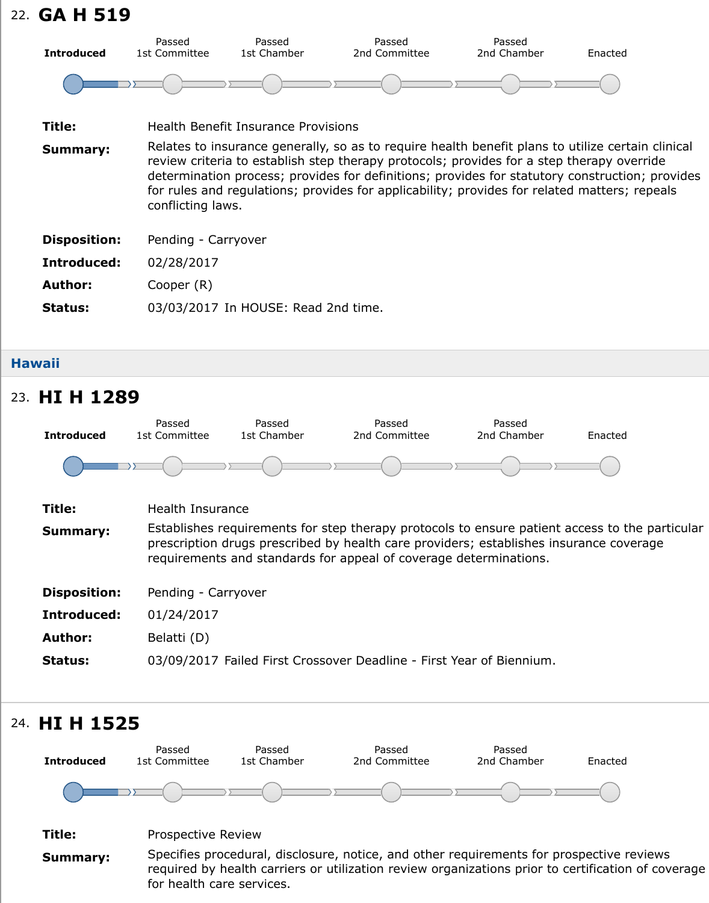| Title:              | <b>Health Benefit Insurance Provisions</b>                                                                                                                                                                                                                                                                                                                    |
|---------------------|---------------------------------------------------------------------------------------------------------------------------------------------------------------------------------------------------------------------------------------------------------------------------------------------------------------------------------------------------------------|
| <b>Summary:</b>     | Relates to insurance generally, so as to require health benefit plans to utilize<br>review criteria to establish step therapy protocols; provides for a step therap<br>determination process; provides for definitions; provides for statutory constr<br>for rules and regulations; provides for applicability; provides for related mat<br>conflicting laws. |
| <b>Disposition:</b> | Pending - Carryover                                                                                                                                                                                                                                                                                                                                           |
| Introduced:         | 02/28/2017                                                                                                                                                                                                                                                                                                                                                    |
| <b>Author:</b>      | Cooper (R)                                                                                                                                                                                                                                                                                                                                                    |
| <b>Status:</b>      | 03/03/2017 In HOUSE: Read 2nd time.                                                                                                                                                                                                                                                                                                                           |

### **Hawaii**

## **Title:** Health Insurance **Summary:** Establishes requirements for step therapy protocols to ensure patient access prescription drugs prescribed by health care providers; establishes insurance requirements and standards for appeal of coverage determinations. **Disposition:** Pending - Carryover **Introduced:** 01/24/2017 **Author:** Belatti (D) **Status:** 03/09/2017 Failed First Crossover Deadline - First Year of Biennium. 23. **HI H 1289 Introduced** Passed 1st Committee Passed 1st Chamber Passed 2nd Committee Passed 2nd Chamber Ena

## 24. **HI H 1525**

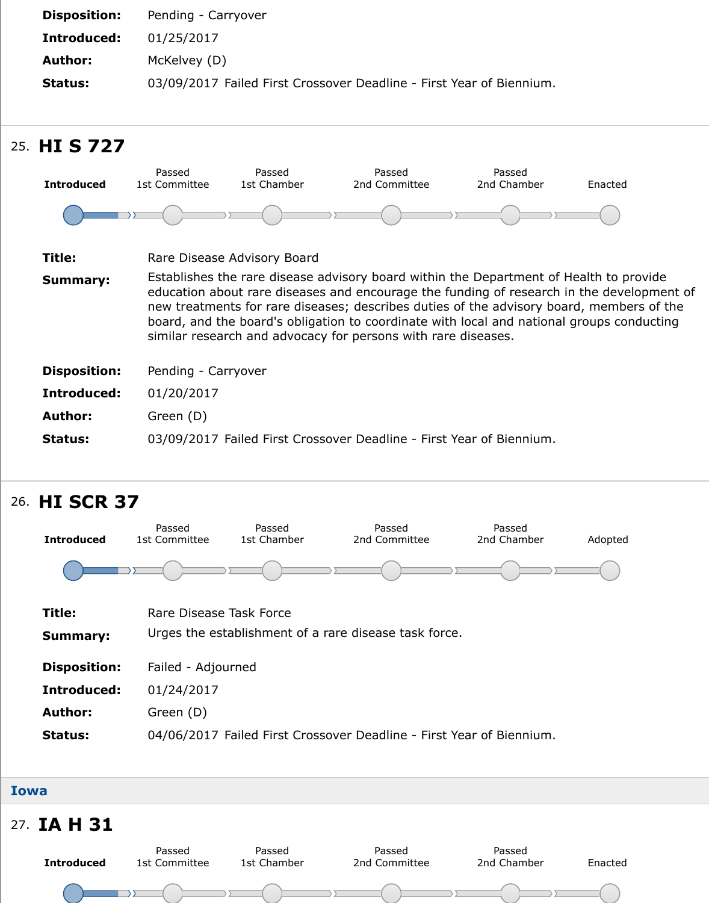| 25. HIS 727         |                         |                             |                                                                                                                                                                                                                                                                                                                                                                                             |                       |     |
|---------------------|-------------------------|-----------------------------|---------------------------------------------------------------------------------------------------------------------------------------------------------------------------------------------------------------------------------------------------------------------------------------------------------------------------------------------------------------------------------------------|-----------------------|-----|
| <b>Introduced</b>   | Passed<br>1st Committee | Passed<br>1st Chamber       | Passed<br>2nd Committee                                                                                                                                                                                                                                                                                                                                                                     | Passed<br>2nd Chamber | Ena |
|                     |                         |                             |                                                                                                                                                                                                                                                                                                                                                                                             |                       |     |
| Title:              |                         | Rare Disease Advisory Board |                                                                                                                                                                                                                                                                                                                                                                                             |                       |     |
| <b>Summary:</b>     |                         |                             | Establishes the rare disease advisory board within the Department of Health<br>education about rare diseases and encourage the funding of research in the<br>new treatments for rare diseases; describes duties of the advisory board, me<br>board, and the board's obligation to coordinate with local and national group<br>similar research and advocacy for persons with rare diseases. |                       |     |
| <b>Disposition:</b> | Pending - Carryover     |                             |                                                                                                                                                                                                                                                                                                                                                                                             |                       |     |
| Introduced:         | 01/20/2017              |                             |                                                                                                                                                                                                                                                                                                                                                                                             |                       |     |
| <b>Author:</b>      | Green (D)               |                             |                                                                                                                                                                                                                                                                                                                                                                                             |                       |     |
| <b>Status:</b>      |                         |                             | 03/09/2017 Failed First Crossover Deadline - First Year of Biennium.                                                                                                                                                                                                                                                                                                                        |                       |     |
|                     |                         |                             |                                                                                                                                                                                                                                                                                                                                                                                             |                       |     |

# 26. **HI SCR 37**



#### **Iowa**

## 27. **IA H 31**

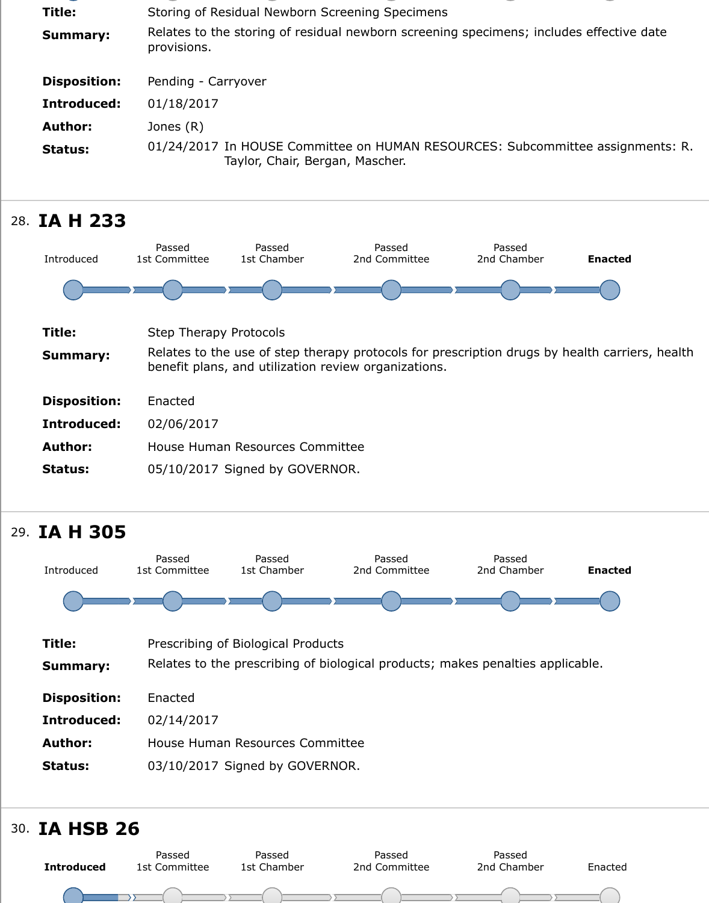

## 28. **IA H 233**



## 29. **IA H 305**



## 30. **IA HSB 26**

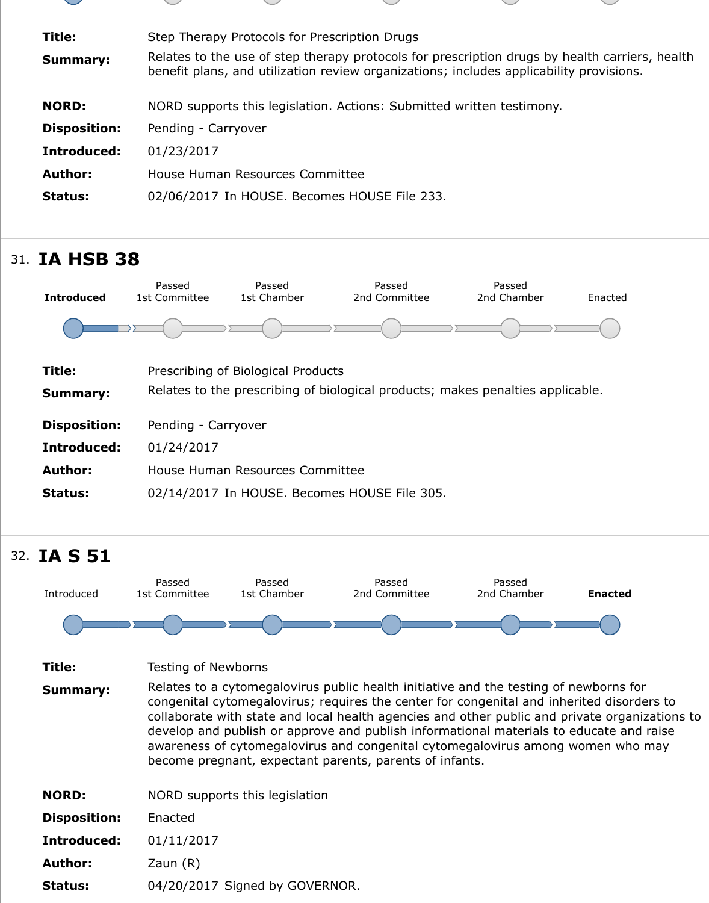| <b>Disposition:</b> | Pending - Carryover                          |
|---------------------|----------------------------------------------|
| Introduced:         | 01/23/2017                                   |
| Author:             | House Human Resources Committee              |
| Status:             | 02/06/2017 In HOUSE. Becomes HOUSE File 233. |

# 31. **IA HSB 38**



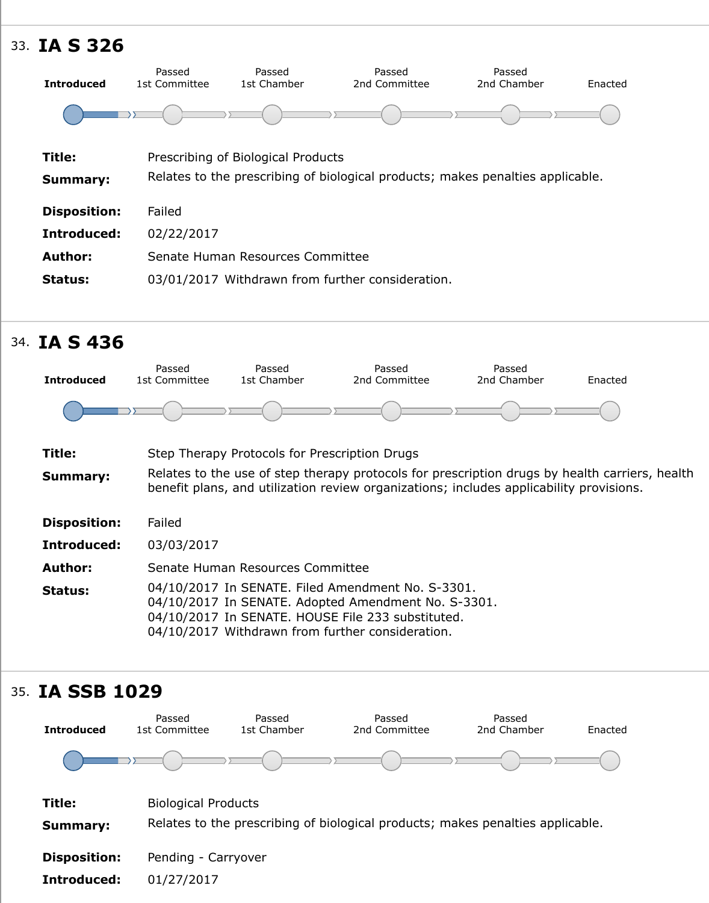| Title:<br><b>Summary:</b> | Prescribing of Biological Products<br>Relates to the prescribing of biological products; makes penalties applicable. |
|---------------------------|----------------------------------------------------------------------------------------------------------------------|
| <b>Disposition:</b>       | Failed                                                                                                               |
| Introduced:               | 02/22/2017                                                                                                           |
| <b>Author:</b>            | Senate Human Resources Committee                                                                                     |
| <b>Status:</b>            | 03/01/2017 Withdrawn from further consideration.                                                                     |

# 34. **IA S 436**



## 35. **IA SSB 10[29](https://sn.lexisnexis.com/secure/pe/sld.cgi?set_display=table&mode=standalone&search_type=Commitee&search_states=IA&cmt_abbr=shum&ses_id=17-18)**

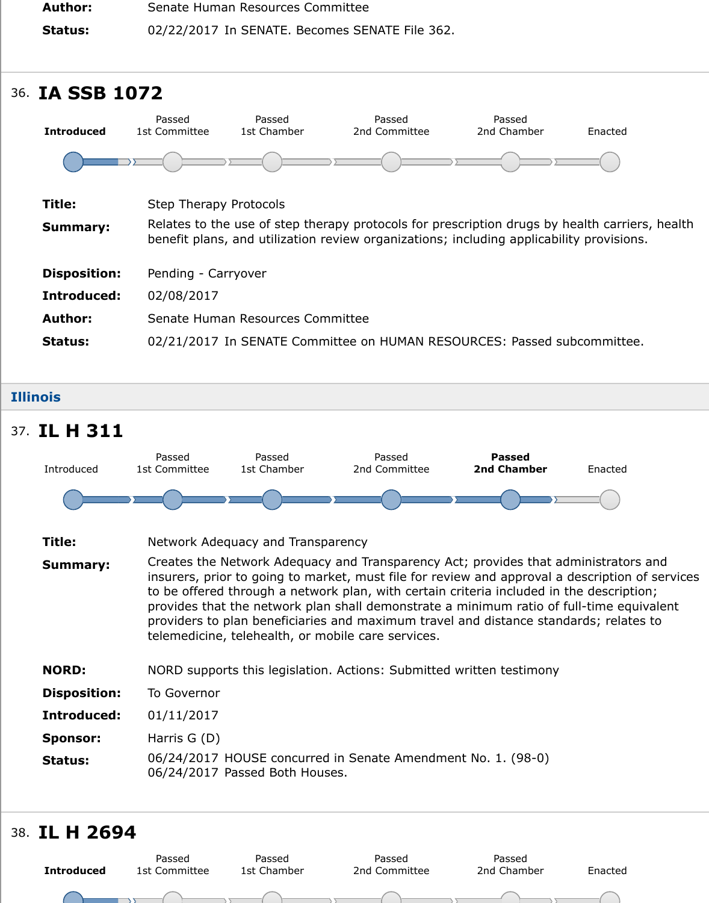| <b>Introduced</b>   | 1st Committee                 | 1st Chamber                      | 2nd Committee                                                                                                                                                     | 2nd Chamber | Ena |  |
|---------------------|-------------------------------|----------------------------------|-------------------------------------------------------------------------------------------------------------------------------------------------------------------|-------------|-----|--|
|                     |                               |                                  |                                                                                                                                                                   |             |     |  |
| Title:              | <b>Step Therapy Protocols</b> |                                  |                                                                                                                                                                   |             |     |  |
| <b>Summary:</b>     |                               |                                  | Relates to the use of step therapy protocols for prescription drugs by health<br>benefit plans, and utilization review organizations; including applicability pro |             |     |  |
| <b>Disposition:</b> | Pending - Carryover           |                                  |                                                                                                                                                                   |             |     |  |
| Introduced:         | 02/08/2017                    |                                  |                                                                                                                                                                   |             |     |  |
| <b>Author:</b>      |                               | Senate Human Resources Committee |                                                                                                                                                                   |             |     |  |
| <b>Status:</b>      |                               |                                  | 02/21/2017 In SENATE Committee on HUMAN RESOURCES: Passed subcom                                                                                                  |             |     |  |
|                     |                               |                                  |                                                                                                                                                                   |             |     |  |

#### **Illinois**

#### **Title:** Network Adequacy and Transparency **Summary:** Creates the Network Adequacy and Transparency Act; provides that adminis insurers, prior to going to market, must file for review and approval a description of services. to be offered through a network plan, with certain criteria included in the de provides that the network plan shall demonstrate a minimum ratio of full-tine providers to plan beneficiaries and maximum travel and distance standards; telemedicine, telehealth, or mobile care services. **NORD:** NORD supports this legislation. Actions: Submitted written testimony **Disposition:** To Governor **Introduced:** 01/11/2017 **Sponsor:** Harris G (D) **Status:** 06/24/2017 HOUSE concurred in Senate Amendment No. 1. (98-0) 06/24/2017 Passed Both Houses. 37. **IL H 311** Introduced Passed 1st Committee Passed 1st Chamber Passed 2nd Committee **Passed 2nd Chamber** Ena

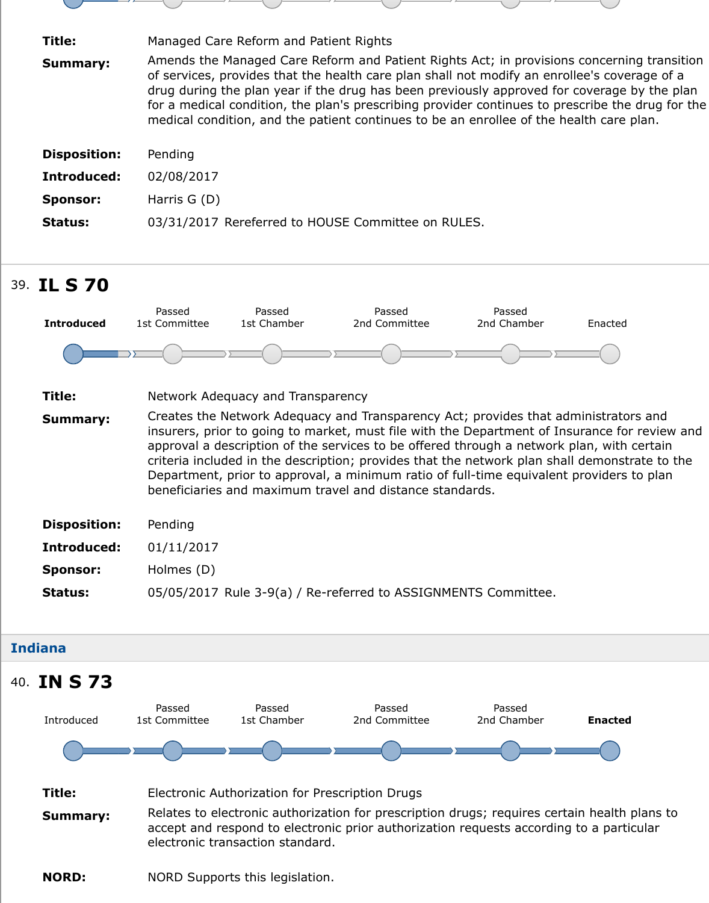| <b>Disposition:</b> | Pending                                            |
|---------------------|----------------------------------------------------|
| Introduced:         | 02/08/2017                                         |
| <b>Sponsor:</b>     | Harris $G(D)$                                      |
| <b>Status:</b>      | 03/31/2017 Rereferred to HOUSE Committee on RULES. |

# 39. **IL S 70**



### **Indiana**

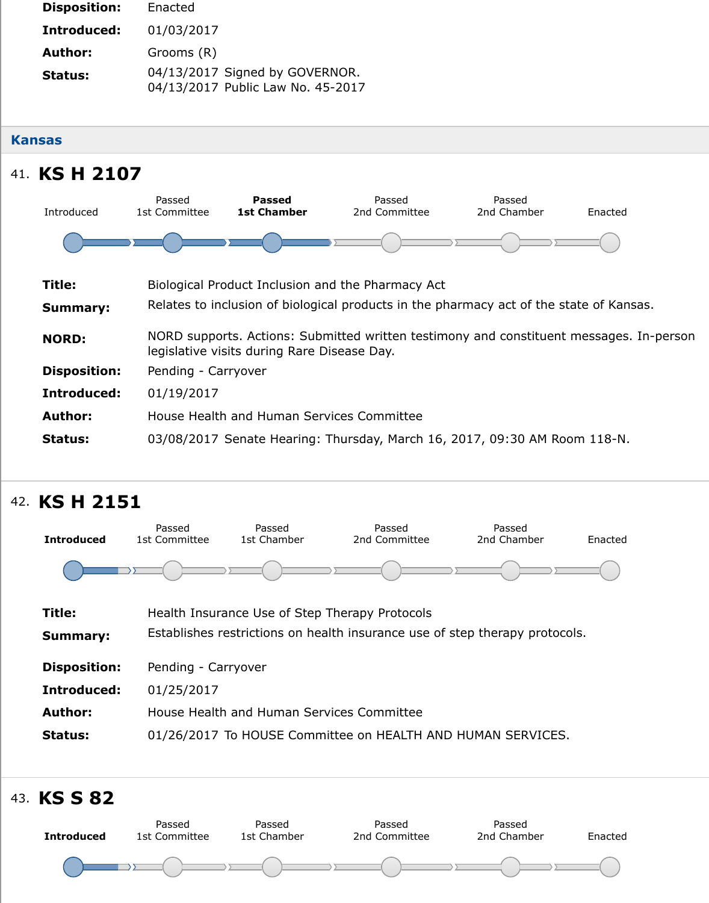#### **Kansas**

# 41. **KS H 2107**

![](_page_16_Figure_2.jpeg)

# 42. **KS H 2151**

![](_page_16_Figure_4.jpeg)

![](_page_16_Figure_5.jpeg)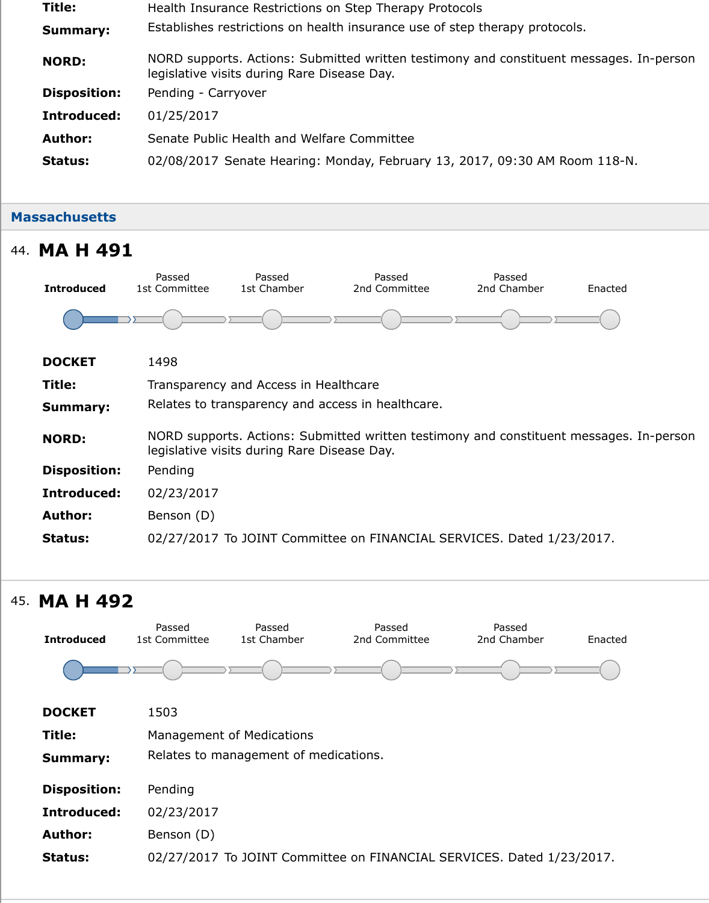| <b>Author:</b> | Senate Public Health and Welfare Committee                            |
|----------------|-----------------------------------------------------------------------|
| Status:        | 02/08/2017 Senate Hearing: Monday, February 13, 2017, 09:30 AM Room 1 |

## **Massachusetts**

| 44. MA H 491        |                         |                                             |                                                                           |                       |     |
|---------------------|-------------------------|---------------------------------------------|---------------------------------------------------------------------------|-----------------------|-----|
| <b>Introduced</b>   | Passed<br>1st Committee | Passed<br>1st Chamber                       | Passed<br>2nd Committee                                                   | Passed<br>2nd Chamber | Ena |
|                     |                         |                                             |                                                                           |                       |     |
| <b>DOCKET</b>       | 1498                    |                                             |                                                                           |                       |     |
| Title:              |                         | Transparency and Access in Healthcare       |                                                                           |                       |     |
| <b>Summary:</b>     |                         |                                             | Relates to transparency and access in healthcare.                         |                       |     |
| <b>NORD:</b>        |                         | legislative visits during Rare Disease Day. | NORD supports. Actions: Submitted written testimony and constituent messi |                       |     |
| <b>Disposition:</b> | Pending                 |                                             |                                                                           |                       |     |
| Introduced:         | 02/23/2017              |                                             |                                                                           |                       |     |
| <b>Author:</b>      | Benson (D)              |                                             |                                                                           |                       |     |
| <b>Status:</b>      |                         |                                             | 02/27/2017 To JOINT Committee on FINANCIAL SERVICES. Dated 1/23/201       |                       |     |
|                     |                         |                                             |                                                                           |                       |     |

# 45. **MA H 492**

| <b>Introduced</b>   | Passed<br>1st Committee | Passed<br>1st Chamber                 | Passed<br>2nd Committee | Passed<br>2nd Chamber                                               | Ena |
|---------------------|-------------------------|---------------------------------------|-------------------------|---------------------------------------------------------------------|-----|
|                     |                         |                                       |                         |                                                                     |     |
| <b>DOCKET</b>       | 1503                    |                                       |                         |                                                                     |     |
| Title:              |                         | <b>Management of Medications</b>      |                         |                                                                     |     |
| <b>Summary:</b>     |                         | Relates to management of medications. |                         |                                                                     |     |
| <b>Disposition:</b> | Pending                 |                                       |                         |                                                                     |     |
| Introduced:         | 02/23/2017              |                                       |                         |                                                                     |     |
| <b>Author:</b>      | Benson (D)              |                                       |                         |                                                                     |     |
| <b>Status:</b>      |                         |                                       |                         | 02/27/2017 To JOINT Committee on FINANCIAL SERVICES. Dated 1/23/201 |     |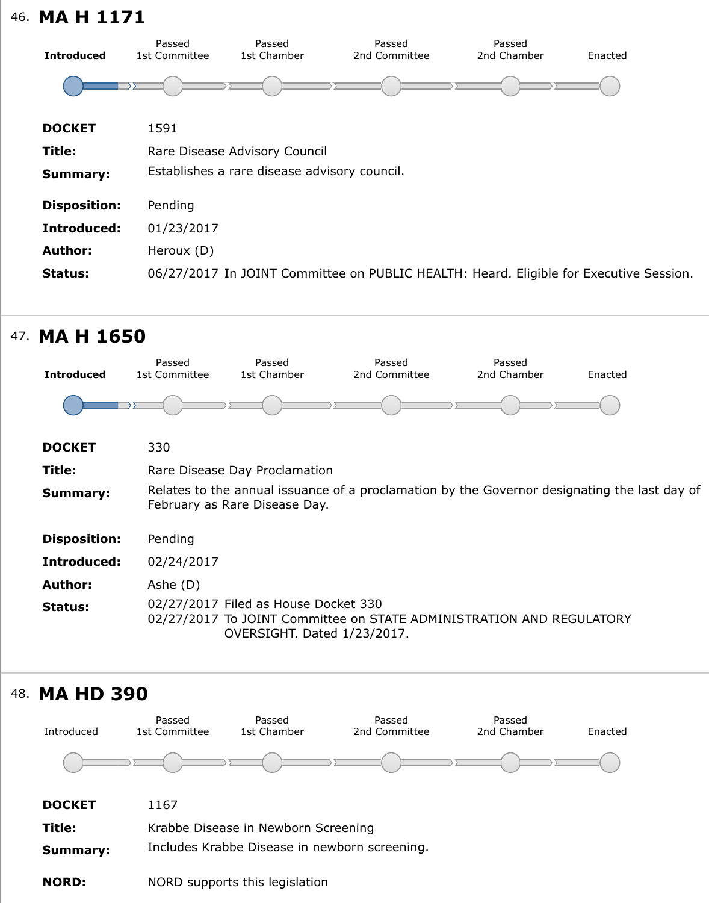| <b>DOCKET</b>       | 1591                                                                    |
|---------------------|-------------------------------------------------------------------------|
| Title:              | Rare Disease Advisory Council                                           |
| <b>Summary:</b>     | Establishes a rare disease advisory council.                            |
| <b>Disposition:</b> | Pending                                                                 |
| Introduced:         | 01/23/2017                                                              |
| <b>Author:</b>      | Heroux (D)                                                              |
| <b>Status:</b>      | 06/27/2017 In JOINT Committee on PUBLIC HEALTH: Heard. Eligible for Exe |
|                     |                                                                         |

# 47. **MA H 1650**

![](_page_18_Figure_2.jpeg)

![](_page_18_Figure_3.jpeg)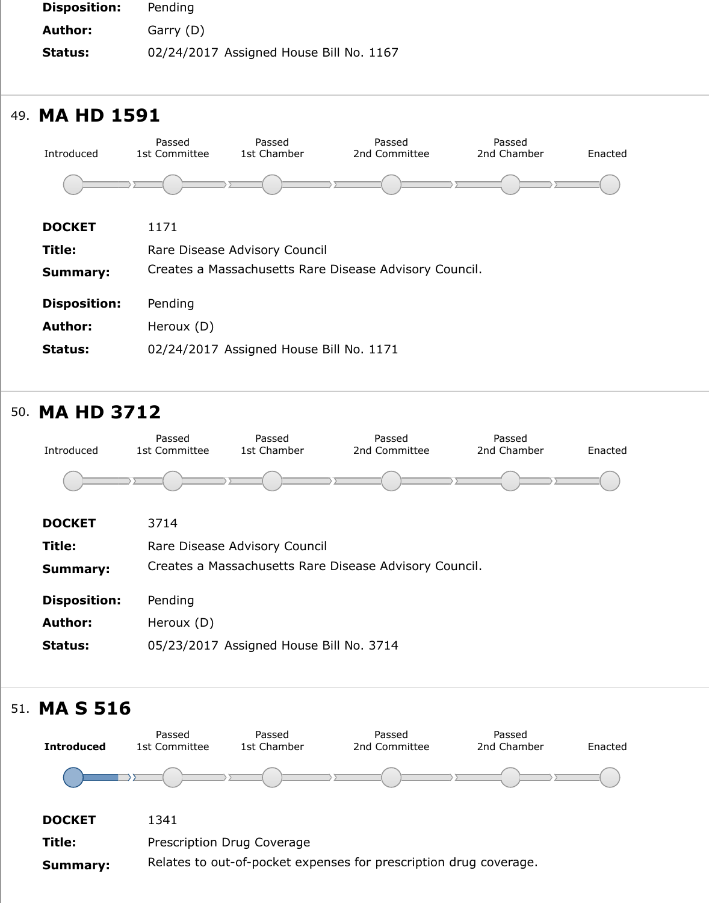![](_page_19_Figure_0.jpeg)

## 50. **MA HD 3712**

![](_page_19_Figure_2.jpeg)

## 51. **MA S 516**

![](_page_19_Figure_4.jpeg)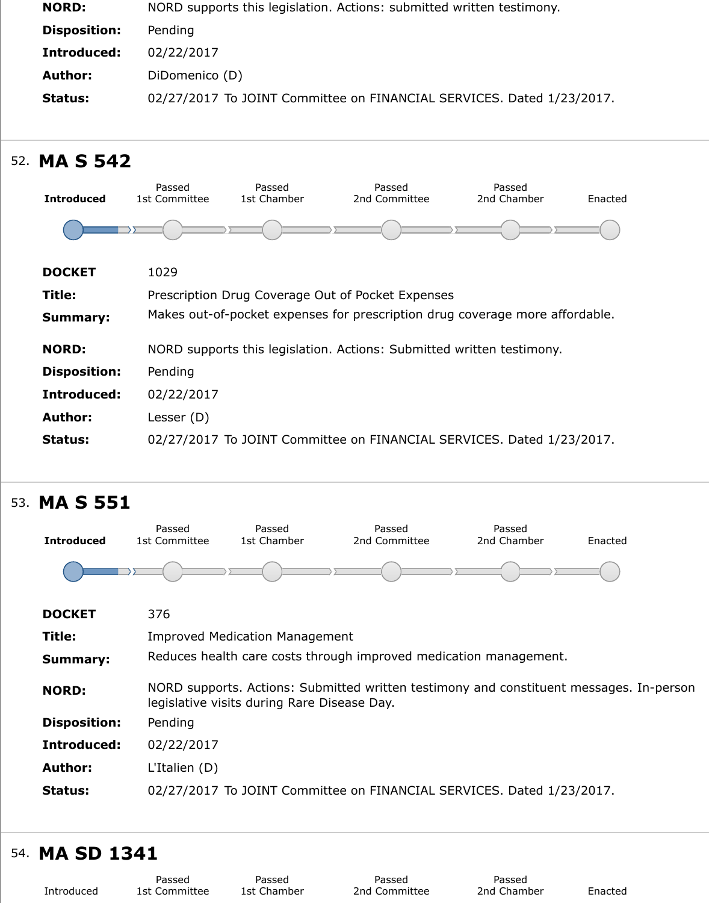![](_page_20_Figure_0.jpeg)

| Pending                                                             |
|---------------------------------------------------------------------|
| 02/22/2017                                                          |
| Lesser (D)                                                          |
| 02/27/2017 To JOINT Committee on FINANCIAL SERVICES. Dated 1/23/201 |
|                                                                     |

# 53. **MA S 551**

![](_page_20_Figure_3.jpeg)

# 54. **MA SD 1341**

| I'IA JU 1971 |               |             |               |             |     |  |
|--------------|---------------|-------------|---------------|-------------|-----|--|
|              | Passed        | Passed      | Passed        | Passed      |     |  |
| Introduced   | 1st Committee | 1st Chamber | 2nd Committee | 2nd Chamber | Ena |  |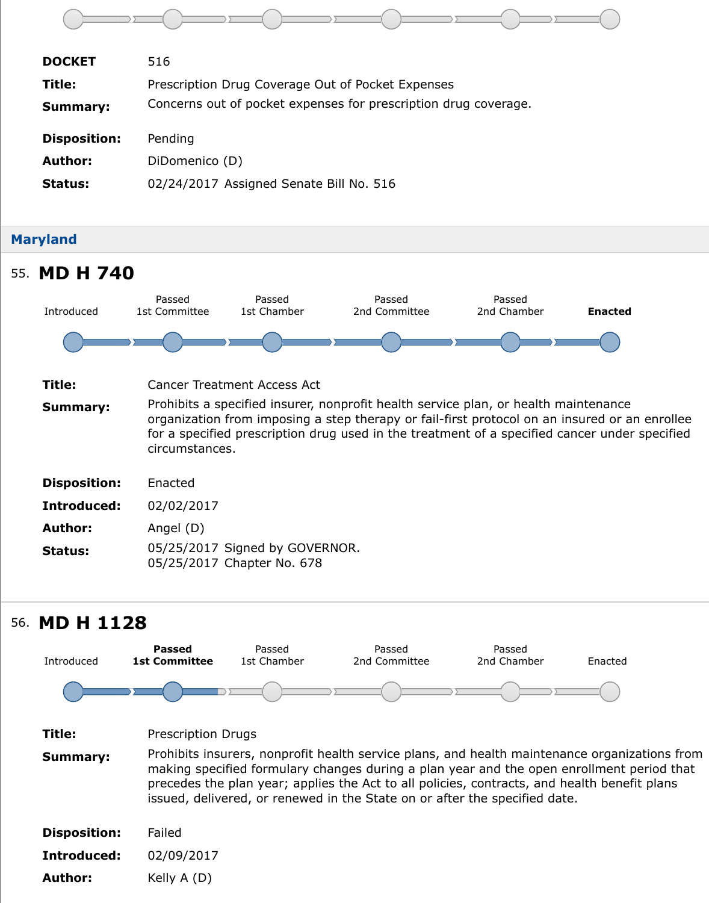| <b>Disposition:</b> | Pending                                 |
|---------------------|-----------------------------------------|
| <b>Author:</b>      | DiDomenico (D)                          |
| Status:             | 02/24/2017 Assigned Senate Bill No. 516 |

![](_page_21_Figure_1.jpeg)

# 56. **MD H 1128**

![](_page_21_Figure_3.jpeg)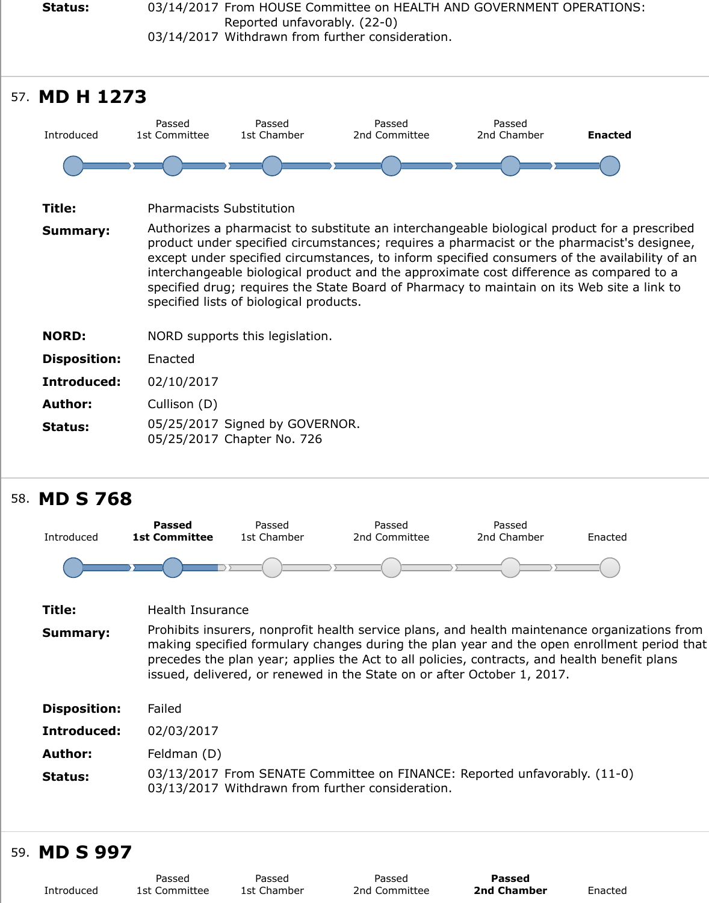| Introduced          | rasseu<br>1st Committee         | rasseu<br>1st Chamber                                                                                                                                                                                                                                                                                                                                                                                                                                  | rasseu<br>2nd Committee | rasseu<br>2nd Chamber | En |  |
|---------------------|---------------------------------|--------------------------------------------------------------------------------------------------------------------------------------------------------------------------------------------------------------------------------------------------------------------------------------------------------------------------------------------------------------------------------------------------------------------------------------------------------|-------------------------|-----------------------|----|--|
|                     |                                 |                                                                                                                                                                                                                                                                                                                                                                                                                                                        |                         |                       |    |  |
| Title:              | <b>Pharmacists Substitution</b> |                                                                                                                                                                                                                                                                                                                                                                                                                                                        |                         |                       |    |  |
| <b>Summary:</b>     |                                 | Authorizes a pharmacist to substitute an interchangeable biological product to<br>product under specified circumstances; requires a pharmacist or the pharma<br>except under specified circumstances, to inform specified consumers of the a<br>interchangeable biological product and the approximate cost difference as co<br>specified drug; requires the State Board of Pharmacy to maintain on its Web<br>specified lists of biological products. |                         |                       |    |  |
| <b>NORD:</b>        |                                 | NORD supports this legislation.                                                                                                                                                                                                                                                                                                                                                                                                                        |                         |                       |    |  |
| <b>Disposition:</b> | Enacted                         |                                                                                                                                                                                                                                                                                                                                                                                                                                                        |                         |                       |    |  |
| <b>Introduced:</b>  | 02/10/2017                      |                                                                                                                                                                                                                                                                                                                                                                                                                                                        |                         |                       |    |  |
| <b>Author:</b>      | Cullison (D)                    |                                                                                                                                                                                                                                                                                                                                                                                                                                                        |                         |                       |    |  |
| <b>Status:</b>      |                                 | 05/25/2017 Signed by GOVERNOR.<br>05/25/2017 Chapter No. 726                                                                                                                                                                                                                                                                                                                                                                                           |                         |                       |    |  |
|                     |                                 |                                                                                                                                                                                                                                                                                                                                                                                                                                                        |                         |                       |    |  |

## 58. **MD S 768**

![](_page_22_Figure_2.jpeg)

## 59. **MD S 997**

|            | Passed        | Passed      |  |
|------------|---------------|-------------|--|
| Introduced | 1st Committee | 1st Chamber |  |

Passed 2nd Committee

**Passed 2nd Chamber** Ena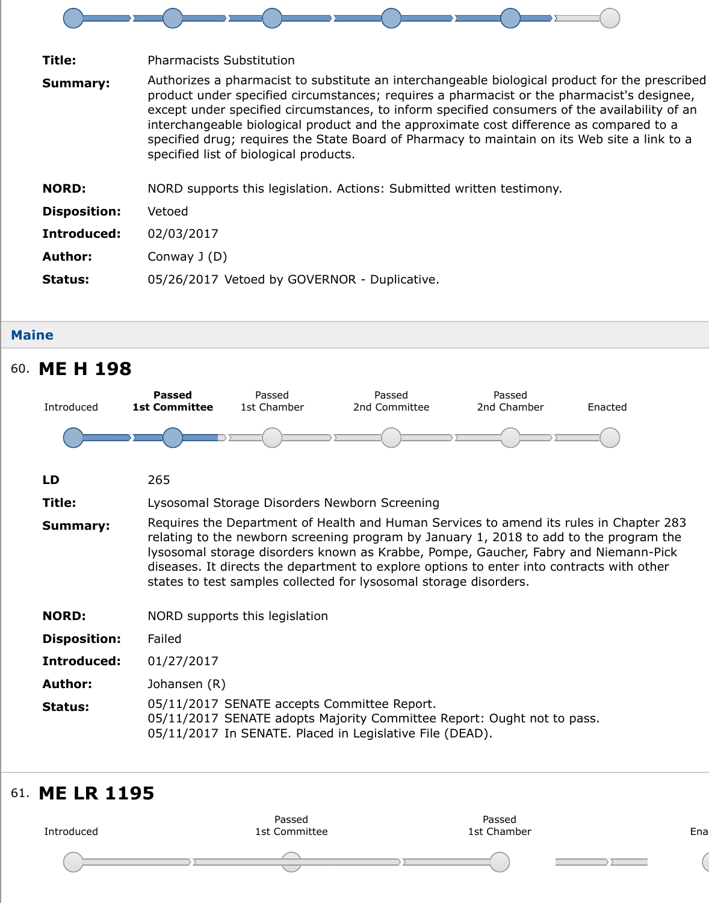|                     | <u>interchangeable biological product and the approximate cost difference as cq</u><br>specified drug; requires the State Board of Pharmacy to maintain on its Web<br>specified list of biological products. |
|---------------------|--------------------------------------------------------------------------------------------------------------------------------------------------------------------------------------------------------------|
| <b>NORD:</b>        | NORD supports this legislation. Actions: Submitted written testimony.                                                                                                                                        |
| <b>Disposition:</b> | Vetoed                                                                                                                                                                                                       |
| Introduced:         | 02/03/2017                                                                                                                                                                                                   |
| <b>Author:</b>      | Conway $J(D)$                                                                                                                                                                                                |
| <b>Status:</b>      | 05/26/2017 Vetoed by GOVERNOR - Duplicative.                                                                                                                                                                 |
|                     |                                                                                                                                                                                                              |

#### **Maine**

## 60. **ME H 198**

![](_page_23_Figure_3.jpeg)

## 61. **ME LR 119[5](https://sn.lexisnexis.com/secure/pe/sld.cgi?set_display=table&mode=standalone&author_no=841820&ses_id=17-18&billnum=198)**

![](_page_23_Figure_5.jpeg)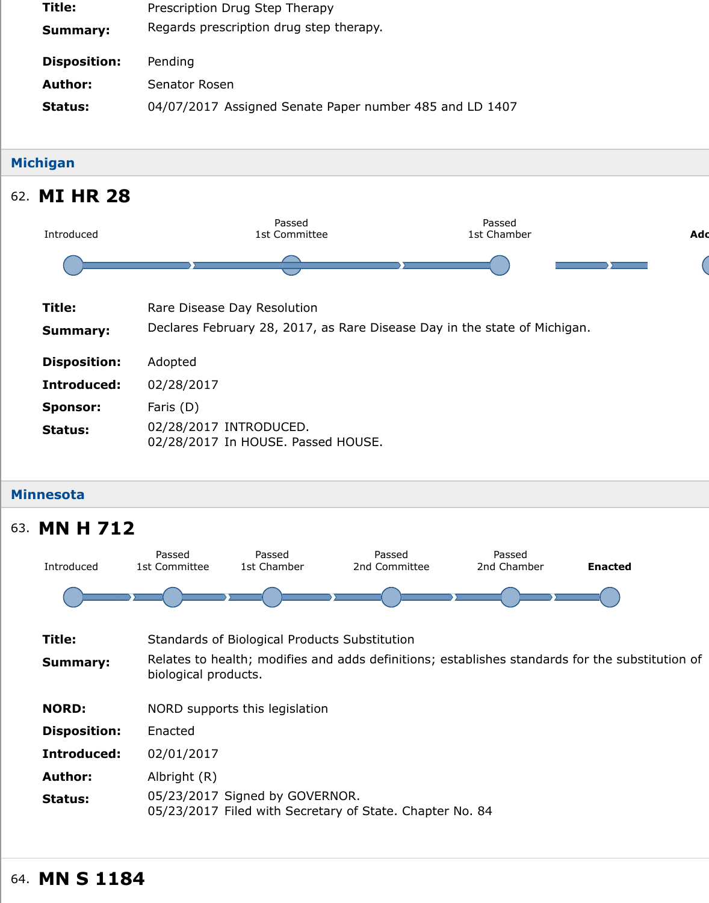#### **Michigan**

## 62. **MI HR 28**

![](_page_24_Figure_2.jpeg)

#### **Minnesota**

![](_page_24_Figure_4.jpeg)

## 64. **MN S 1184**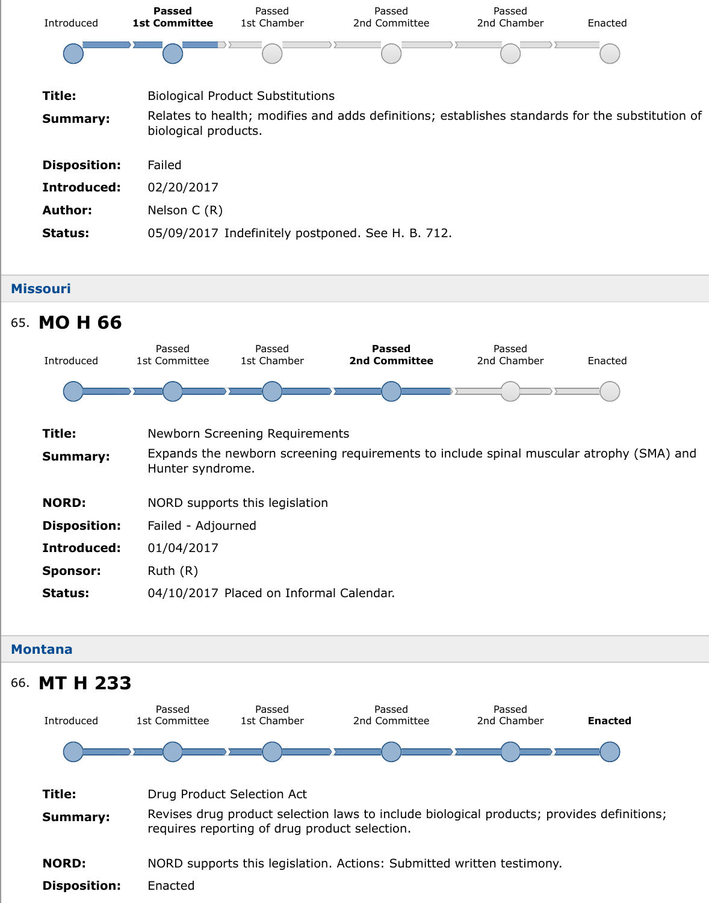|                     | biological products.                              |
|---------------------|---------------------------------------------------|
| <b>Disposition:</b> | Failed                                            |
| Introduced:         | 02/20/2017                                        |
| <b>Author:</b>      | Nelson $C(R)$                                     |
| <b>Status:</b>      | 05/09/2017 Indefinitely postponed. See H. B. 712. |
|                     |                                                   |

Passed

## **Missouri** 65. **MO H 66** Introduced Passed 1st Committee 1st Chamber

| Title:              | <b>Newborn Screening Requirements</b>                                                          |
|---------------------|------------------------------------------------------------------------------------------------|
| <b>Summary:</b>     | Expands the newborn screening requirements to include spinal muscular atre<br>Hunter syndrome. |
| <b>NORD:</b>        | NORD supports this legislation                                                                 |
| <b>Disposition:</b> | Failed - Adjourned                                                                             |
| Introduced:         | 01/04/2017                                                                                     |
| <b>Sponsor:</b>     | Ruth $(R)$                                                                                     |
|                     |                                                                                                |

**Passed 2nd Committee** Passed

2nd Chamber **Enacted** 

**Status:** 04/10/2017 Placed on Informal Calendar.

## **Montana**

![](_page_25_Figure_5.jpeg)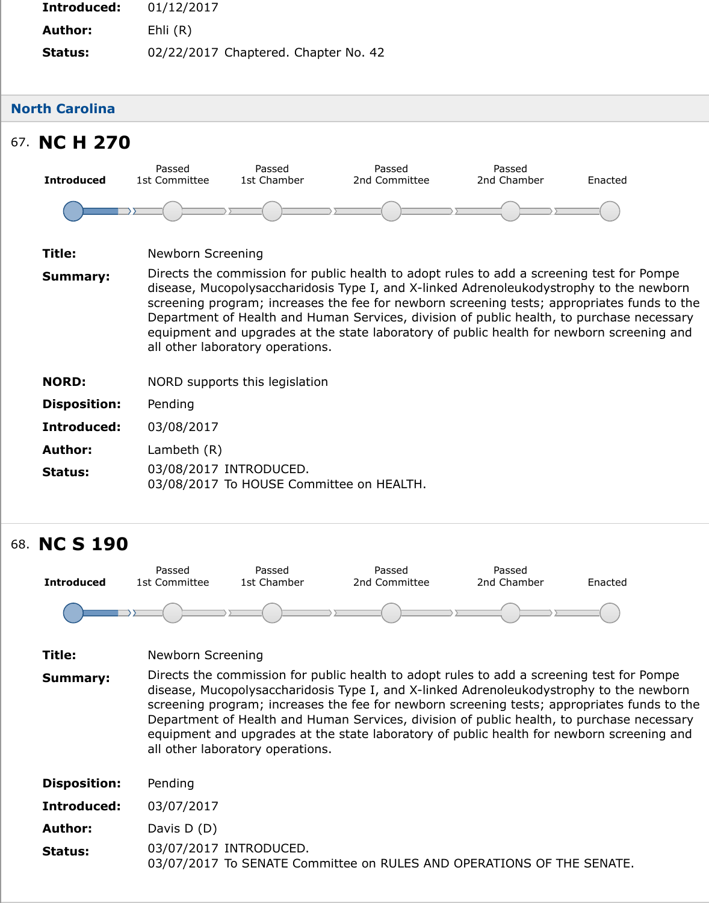# 67. **NC H 270**

![](_page_26_Figure_1.jpeg)

- **Title:** Newborn Screening
- **Summary:** Directs the commission for public health to adopt rules to add a screening te disease, Mucopolysaccharidosis Type I, and X-linked Adrenoleukodystrophy t screening program; increases the fee for newborn screening tests; appropriations of Department of Health and Human Services, division of public health, to purc equipment and upgrades at the state laboratory of public health for newborr all other laboratory operations.
- **NORD:** NORD supports this legislation
- **Disposition:** Pending
- **Introduced:** 03/08/2017
- **Author:** Lambeth (R)
- **Status:** 03/08/2017 INTRODUCED. 03/08/2017 To HOUSE Committee on HEALTH.

# 68. **NC S 190**

![](_page_26_Figure_10.jpeg)

**Status:** 03/07/2017 INTRODUCED. 03/07/2017 To SENATE Committee on RULES AND OPERATIONS OF THE SEI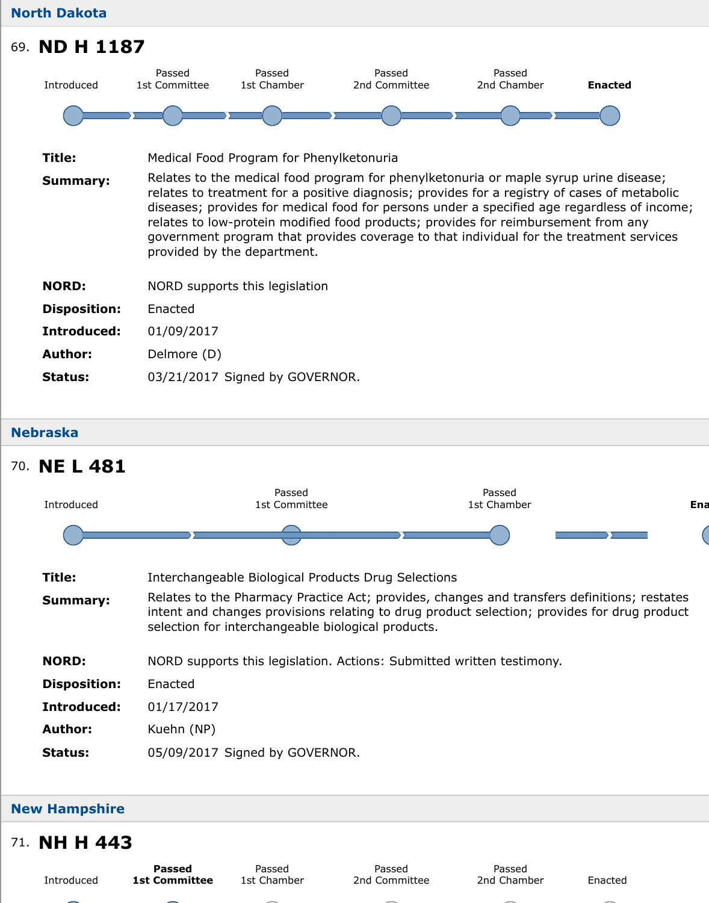![](_page_27_Picture_0.jpeg)

| Title:              | Medical Food Program for Phenylketonuria                                                                                                                                                                                                                                                                                                                                                                                                      |
|---------------------|-----------------------------------------------------------------------------------------------------------------------------------------------------------------------------------------------------------------------------------------------------------------------------------------------------------------------------------------------------------------------------------------------------------------------------------------------|
| <b>Summary:</b>     | Relates to the medical food program for phenylketonuria or maple syrup uring<br>relates to treatment for a positive diagnosis; provides for a registry of cases<br>diseases; provides for medical food for persons under a specified age regard<br>relates to low-protein modified food products; provides for reimbursement fr<br>government program that provides coverage to that individual for the treatm<br>provided by the department. |
| <b>NORD:</b>        | NORD supports this legislation                                                                                                                                                                                                                                                                                                                                                                                                                |
| <b>Disposition:</b> | Enacted                                                                                                                                                                                                                                                                                                                                                                                                                                       |
| Introduced:         | 01/09/2017                                                                                                                                                                                                                                                                                                                                                                                                                                    |
| <b>Author:</b>      | Delmore (D)                                                                                                                                                                                                                                                                                                                                                                                                                                   |
| <b>Status:</b>      | 03/21/2017 Signed by GOVERNOR.                                                                                                                                                                                                                                                                                                                                                                                                                |
|                     |                                                                                                                                                                                                                                                                                                                                                                                                                                               |

#### **Nebraska**

# 70. **NE L 481**

![](_page_27_Figure_4.jpeg)

## **New Hampshire**

## 71. **NH H 443**

Introduced

**Passed 1st Committee**

Passed 1st Chamber

Passed 2nd Committee

Passed 2nd Chamber **Enacted**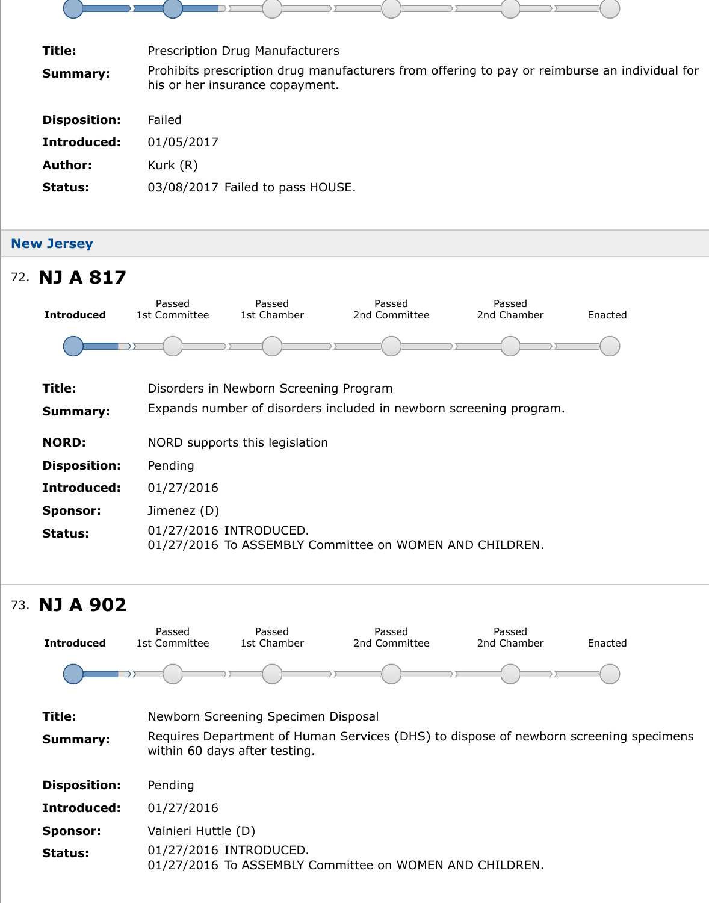| Introduced:    | 01/05/2017                       |
|----------------|----------------------------------|
| <b>Author:</b> | Kurk $(R)$                       |
| <b>Status:</b> | 03/08/2017 Failed to pass HOUSE. |

## **New Jersey**

![](_page_28_Figure_2.jpeg)

# 73. **NJ A 902**

| <b>Introduced</b>   | Passed<br>1st Committee | Passed<br>1st Chamber               | Passed<br>2nd Committee                                                 | Passed<br>2nd Chamber | Ena |
|---------------------|-------------------------|-------------------------------------|-------------------------------------------------------------------------|-----------------------|-----|
|                     |                         |                                     |                                                                         |                       |     |
| Title:              |                         | Newborn Screening Specimen Disposal |                                                                         |                       |     |
| <b>Summary:</b>     |                         | within 60 days after testing.       | Requires Department of Human Services (DHS) to dispose of newborn scree |                       |     |
| <b>Disposition:</b> | Pending                 |                                     |                                                                         |                       |     |
| Introduced:         | 01/27/2016              |                                     |                                                                         |                       |     |
| <b>Sponsor:</b>     | Vainieri Huttle (D)     |                                     |                                                                         |                       |     |
| <b>Status:</b>      |                         | 01/27/2016 INTRODUCED.              | 01/27/2016 To ASSEMBLY Committee on WOMEN AND CHILDREN.                 |                       |     |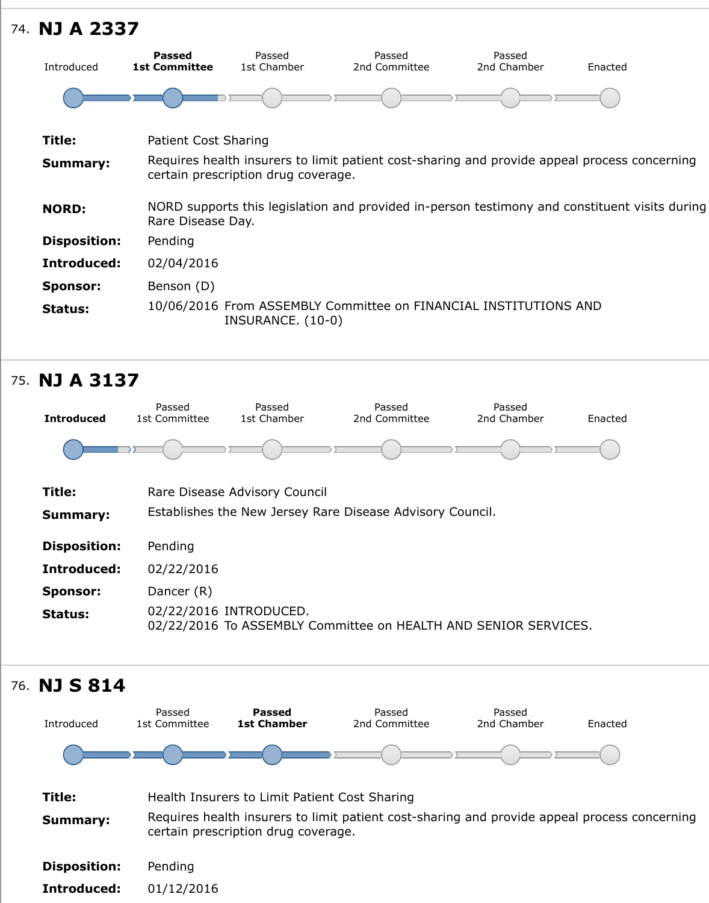| Patient Cost Sharing                                                                                                 |
|----------------------------------------------------------------------------------------------------------------------|
| Requires health insurers to limit patient cost-sharing and provide appeal pro<br>certain prescription drug coverage. |
| NORD supports this legislation and provided in-person testimony and constit<br>Rare Disease Day.                     |
| Pending                                                                                                              |
| 02/04/2016                                                                                                           |
| Benson (D)                                                                                                           |
| 10/06/2016 From ASSEMBLY Committee on FINANCIAL INSTITUTIONS AND<br>INSURANCE. (10-0)                                |
|                                                                                                                      |

# 75. **NJ A 3137**

![](_page_29_Figure_2.jpeg)

![](_page_29_Figure_3.jpeg)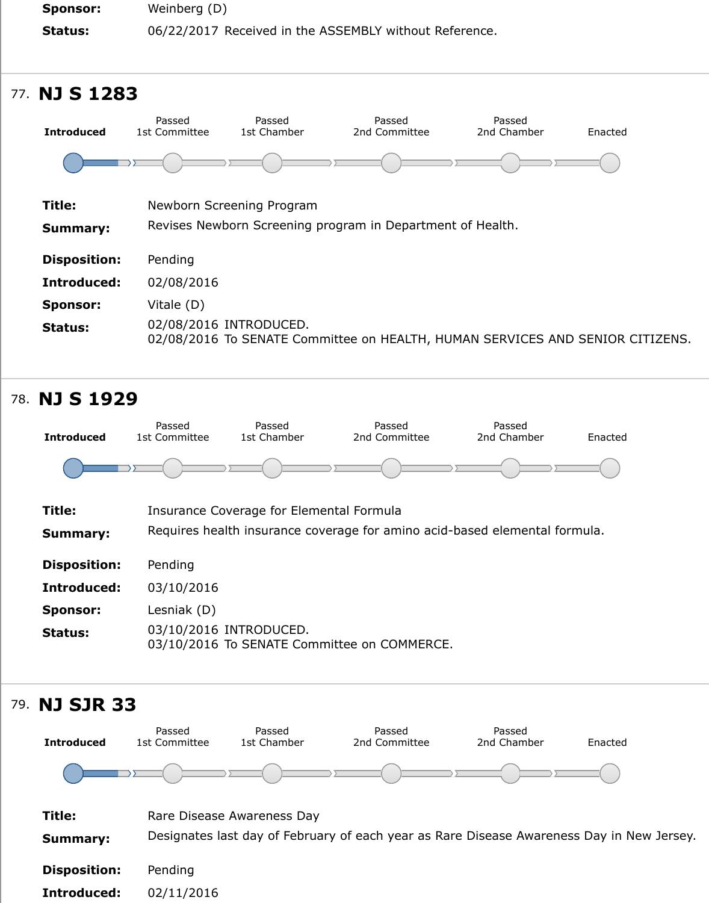| <b>Introduced</b><br>1st Chamber<br>2nd Chamber<br>2nd Committee<br>1st Committee                            | Ena |
|--------------------------------------------------------------------------------------------------------------|-----|
|                                                                                                              |     |
| Title:<br>Newborn Screening Program                                                                          |     |
| Revises Newborn Screening program in Department of Health.<br><b>Summary:</b>                                |     |
| <b>Disposition:</b><br>Pending                                                                               |     |
| Introduced:<br>02/08/2016                                                                                    |     |
| Vitale (D)<br><b>Sponsor:</b>                                                                                |     |
| 02/08/2016 INTRODUCED.<br><b>Status:</b><br>02/08/2016 To SENATE Committee on HEALTH, HUMAN SERVICES AND SEN |     |

![](_page_30_Figure_1.jpeg)

**Introduced:** 02/11/2016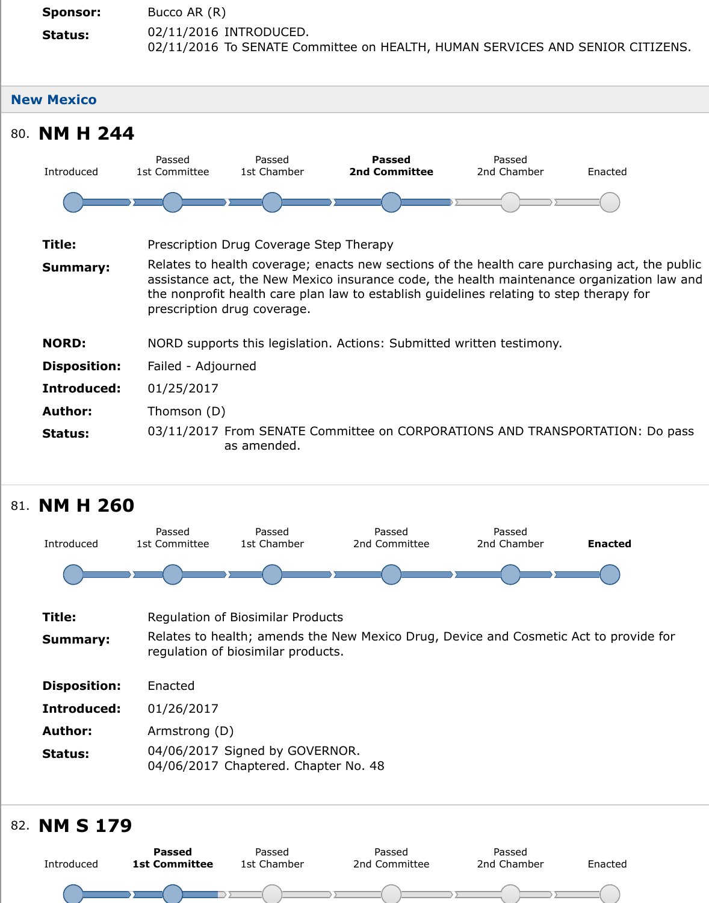![](_page_31_Figure_0.jpeg)

## 81. **NM H 260**

![](_page_31_Figure_2.jpeg)

## 82. **NM S 179**

![](_page_31_Figure_4.jpeg)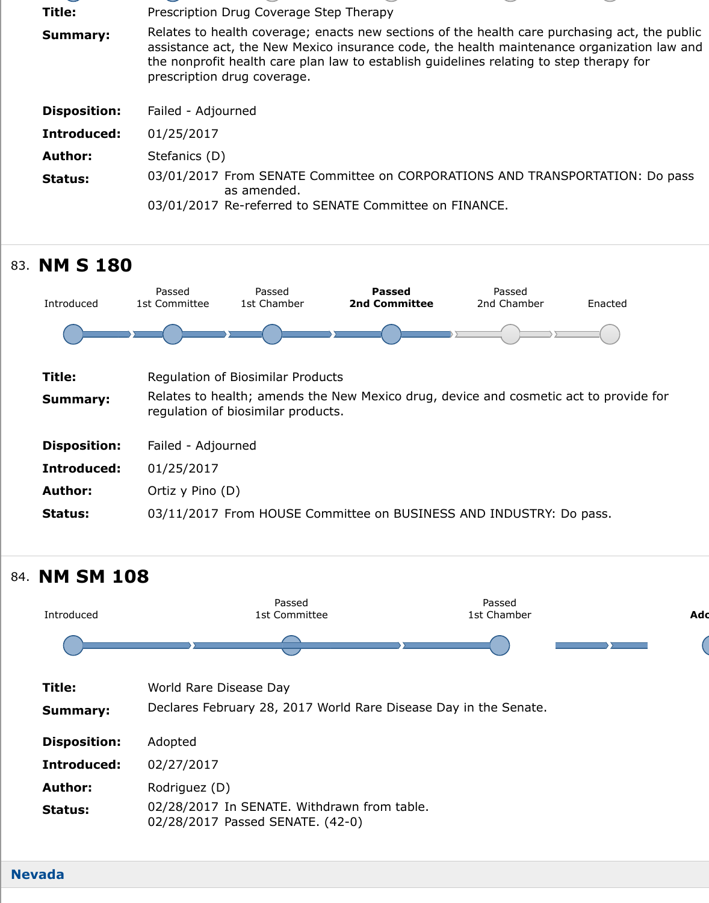| Introduced:    | 01/25/2017                                                                    |
|----------------|-------------------------------------------------------------------------------|
| <b>Author:</b> | Stefanics (D)                                                                 |
| <b>Status:</b> | 03/01/2017 From SENATE Committee on CORPORATIONS AND TRANSPORT<br>as amended. |
|                | 03/01/2017 Re-referred to SENATE Committee on FINANCE.                        |

![](_page_32_Figure_1.jpeg)

![](_page_32_Figure_2.jpeg)

#### **Nevada**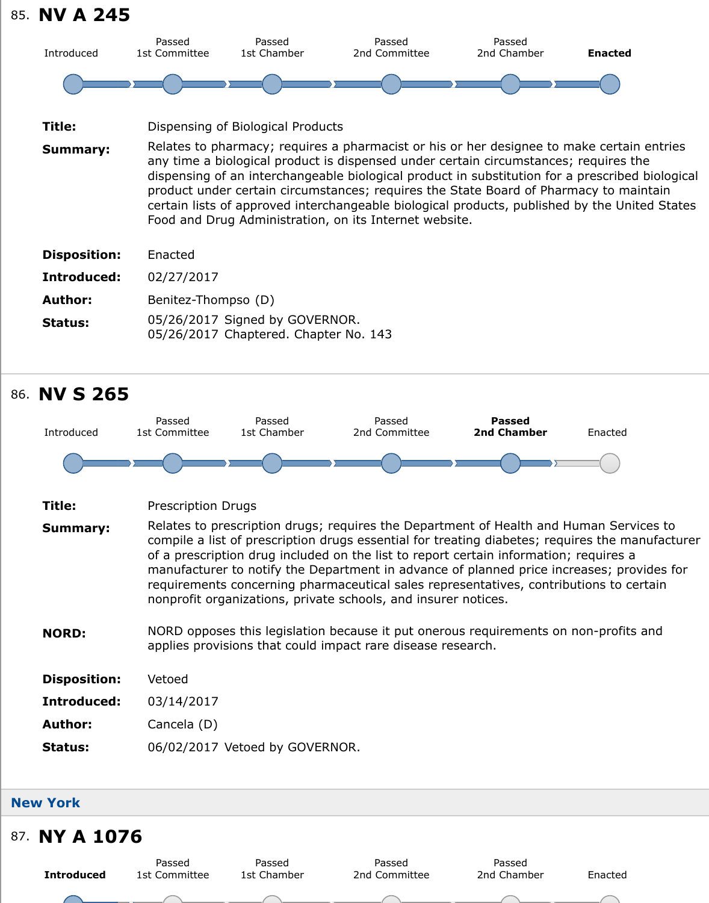| Title:              | Dispensing of Biological Products                                                                                                                                                                                                                                                                                                                                                                                                                                     |
|---------------------|-----------------------------------------------------------------------------------------------------------------------------------------------------------------------------------------------------------------------------------------------------------------------------------------------------------------------------------------------------------------------------------------------------------------------------------------------------------------------|
| <b>Summary:</b>     | Relates to pharmacy; requires a pharmacist or his or her designee to make<br>any time a biological product is dispensed under certain circumstances; requ<br>dispensing of an interchangeable biological product in substitution for a pres<br>product under certain circumstances; requires the State Board of Pharmacy<br>certain lists of approved interchangeable biological products, published by the<br>Food and Drug Administration, on its Internet website. |
| <b>Disposition:</b> | Enacted                                                                                                                                                                                                                                                                                                                                                                                                                                                               |
| Introduced:         | 02/27/2017                                                                                                                                                                                                                                                                                                                                                                                                                                                            |
| <b>Author:</b>      | Benitez-Thompso (D)                                                                                                                                                                                                                                                                                                                                                                                                                                                   |
| <b>Status:</b>      | 05/26/2017 Signed by GOVERNOR.<br>05/26/2017 Chaptered. Chapter No. 143                                                                                                                                                                                                                                                                                                                                                                                               |

![](_page_33_Figure_1.jpeg)

| Title: | <b>Prescription Drugs</b> |
|--------|---------------------------|
|--------|---------------------------|

- **Summary:** Relates to prescription drugs; requires the Department of Health and Humar compile a list of prescription drugs essential for treating diabetes; requires to of a prescription drug included on the list to report certain information; reque manufacturer to notify the Department in advance of planned price increase. requirements concerning pharmaceutical sales representatives, contributions nonprofit organizations, private schools, and insurer notices.
- **NORD:** NORD opposes this legislation because it put onerous requirements on non-profit and non-profit and non-profit and non-profit and non-profit and non-profit and non-profit and non-profit and non-profit and non-profit applies provisions that could impact rare disease research.

| <b>Disposition:</b> | Vetoed |
|---------------------|--------|
|---------------------|--------|

**Introduced:** 03/14/2017

**Author:** Cancela (D)

**Status:** 06/02/2017 Vetoed by GOVERNOR.

#### **New York**

## 87. **NY A 1076**

|                   | Passed        | Passed      | Passed        | Passed      |     |
|-------------------|---------------|-------------|---------------|-------------|-----|
| <b>Introduced</b> | 1st Committee | 1st Chamber | 2nd Committee | 2nd Chamber | Ena |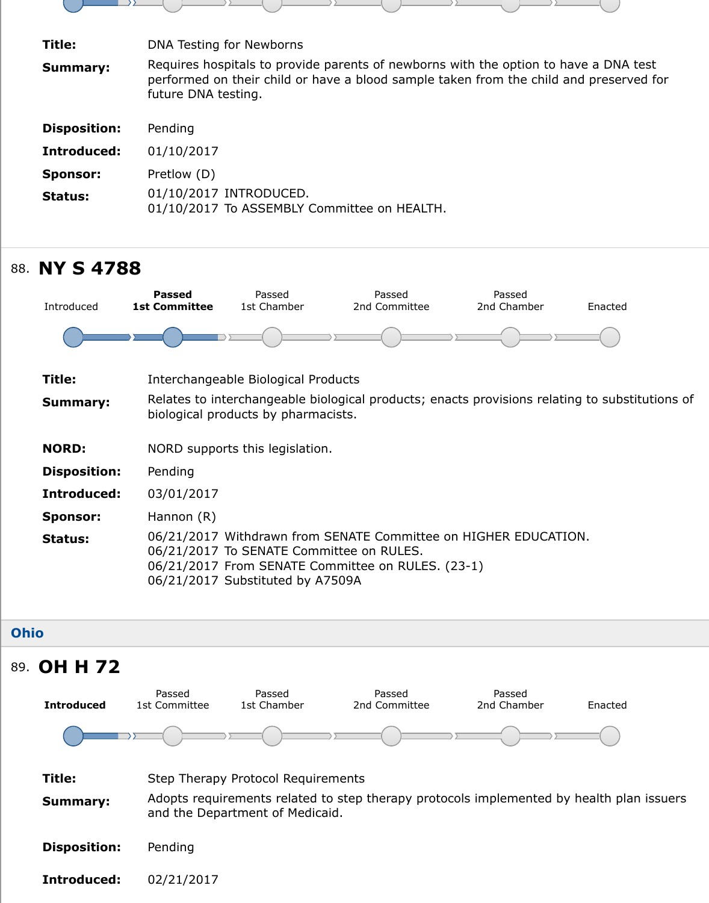| <b>Disposition:</b> | Pending                                                               |
|---------------------|-----------------------------------------------------------------------|
| Introduced:         | 01/10/2017                                                            |
| <b>Sponsor:</b>     | Pretlow (D)                                                           |
| Status:             | 01/10/2017 INTRODUCED.<br>01/10/2017 To ASSEMBLY Committee on HEALTH. |

| <b>NY S 4788</b>                      |                       |                         |                                                                                                                                                                                               |                                                                                                                                                                                                       |
|---------------------------------------|-----------------------|-------------------------|-----------------------------------------------------------------------------------------------------------------------------------------------------------------------------------------------|-------------------------------------------------------------------------------------------------------------------------------------------------------------------------------------------------------|
| <b>Passed</b><br><b>1st Committee</b> | Passed<br>1st Chamber | Passed<br>2nd Committee | Passed<br>2nd Chamber                                                                                                                                                                         | Ena                                                                                                                                                                                                   |
|                                       |                       |                         |                                                                                                                                                                                               |                                                                                                                                                                                                       |
|                                       |                       |                         |                                                                                                                                                                                               |                                                                                                                                                                                                       |
|                                       |                       |                         |                                                                                                                                                                                               |                                                                                                                                                                                                       |
|                                       |                       |                         |                                                                                                                                                                                               |                                                                                                                                                                                                       |
| <b>Disposition:</b><br>Pending        |                       |                         |                                                                                                                                                                                               |                                                                                                                                                                                                       |
| Introduced:<br>03/01/2017             |                       |                         |                                                                                                                                                                                               |                                                                                                                                                                                                       |
| Hannon (R)                            |                       |                         |                                                                                                                                                                                               |                                                                                                                                                                                                       |
|                                       |                       |                         |                                                                                                                                                                                               |                                                                                                                                                                                                       |
|                                       |                       |                         | Interchangeable Biological Products<br>biological products by pharmacists.<br>NORD supports this legislation.<br>06/21/2017 To SENATE Committee on RULES.<br>06/21/2017 Substituted by A7509A | Relates to interchangeable biological products; enacts provisions relating to<br>06/21/2017 Withdrawn from SENATE Committee on HIGHER EDUCATION.<br>06/21/2017 From SENATE Committee on RULES. (23-1) |

### **Ohio**

![](_page_34_Figure_3.jpeg)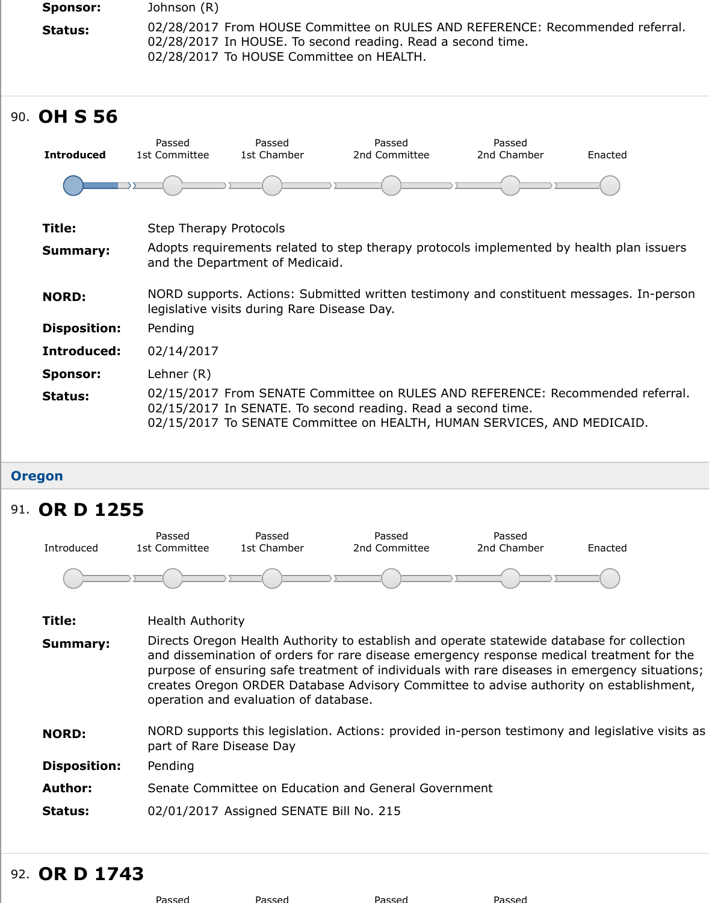| <b>Introduced</b>   | Passed<br>1st Committee       | Passed<br>1st Chamber                       | Passed<br>2nd Committee                                                                                                                                                                              | Passed<br>2nd Chamber | End |
|---------------------|-------------------------------|---------------------------------------------|------------------------------------------------------------------------------------------------------------------------------------------------------------------------------------------------------|-----------------------|-----|
|                     |                               |                                             |                                                                                                                                                                                                      |                       |     |
| Title:              | <b>Step Therapy Protocols</b> |                                             |                                                                                                                                                                                                      |                       |     |
| <b>Summary:</b>     |                               | and the Department of Medicaid.             | Adopts requirements related to step therapy protocols implemented by healt                                                                                                                           |                       |     |
| <b>NORD:</b>        |                               | legislative visits during Rare Disease Day. | NORD supports. Actions: Submitted written testimony and constituent messi                                                                                                                            |                       |     |
| <b>Disposition:</b> | Pending                       |                                             |                                                                                                                                                                                                      |                       |     |
| Introduced:         | 02/14/2017                    |                                             |                                                                                                                                                                                                      |                       |     |
| <b>Sponsor:</b>     | Lehner (R)                    |                                             |                                                                                                                                                                                                      |                       |     |
| Status:             |                               |                                             | 02/15/2017 From SENATE Committee on RULES AND REFERENCE: Recomm<br>02/15/2017 In SENATE. To second reading. Read a second time.<br>02/15/2017 To SENATE Committee on HEALTH, HUMAN SERVICES, AND MEI |                       |     |

## **Oregon**

# 91. **OR D 1255**

90. **OH S 56**

![](_page_35_Figure_3.jpeg)

| Title:              | <b>Health Authority</b>                                                                                                                                                                                                                                                                                                                                        |
|---------------------|----------------------------------------------------------------------------------------------------------------------------------------------------------------------------------------------------------------------------------------------------------------------------------------------------------------------------------------------------------------|
| <b>Summary:</b>     | Directs Oregon Health Authority to establish and operate statewide database<br>and dissemination of orders for rare disease emergency response medical tre<br>purpose of ensuring safe treatment of individuals with rare diseases in emer<br>creates Oregon ORDER Database Advisory Committee to advise authority on<br>operation and evaluation of database. |
| <b>NORD:</b>        | NORD supports this legislation. Actions: provided in-person testimony and le<br>part of Rare Disease Day                                                                                                                                                                                                                                                       |
| <b>Disposition:</b> | Pending                                                                                                                                                                                                                                                                                                                                                        |
| <b>Author:</b>      | Senate Committee on Education and General Government                                                                                                                                                                                                                                                                                                           |
| <b>Status:</b>      | 02/01/2017 Assigned SENATE Bill No. 215                                                                                                                                                                                                                                                                                                                        |
|                     |                                                                                                                                                                                                                                                                                                                                                                |

# 92. **OR D 1743**

| Passed | Passed | Passed | Passed |
|--------|--------|--------|--------|
|        |        |        |        |
|        |        |        |        |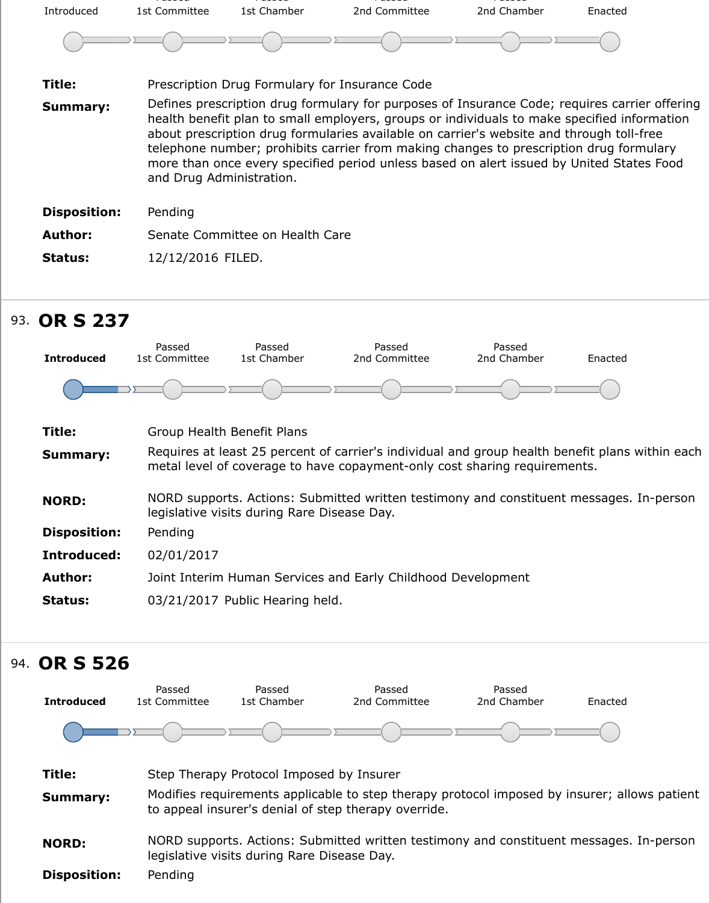| Introduced          | 1st Committee            | 1st Chamber                     | 2nd Committee                                                                                                                                                                                                                                                                                                                                                                 | 2nd Chamber | Enacted                                                                                       |
|---------------------|--------------------------|---------------------------------|-------------------------------------------------------------------------------------------------------------------------------------------------------------------------------------------------------------------------------------------------------------------------------------------------------------------------------------------------------------------------------|-------------|-----------------------------------------------------------------------------------------------|
|                     |                          |                                 |                                                                                                                                                                                                                                                                                                                                                                               |             |                                                                                               |
| Title:              |                          |                                 | Prescription Drug Formulary for Insurance Code                                                                                                                                                                                                                                                                                                                                |             |                                                                                               |
| <b>Summary:</b>     | and Drug Administration. |                                 | health benefit plan to small employers, groups or individuals to make specified information<br>about prescription drug formularies available on carrier's website and through toll-free<br>telephone number; prohibits carrier from making changes to prescription drug formulary<br>more than once every specified period unless based on alert issued by United States Food |             | Defines prescription drug formulary for purposes of Insurance Code; requires carrier offering |
| <b>Disposition:</b> | Pending                  |                                 |                                                                                                                                                                                                                                                                                                                                                                               |             |                                                                                               |
| <b>Author:</b>      |                          | Senate Committee on Health Care |                                                                                                                                                                                                                                                                                                                                                                               |             |                                                                                               |
| <b>Status:</b>      | 12/12/2016 FILED.        |                                 |                                                                                                                                                                                                                                                                                                                                                                               |             |                                                                                               |

# 93. **OR S 237**

![](_page_36_Figure_2.jpeg)

#### 94. **OR S 526 Introduced** Passed 1st Committee

![](_page_36_Figure_4.jpeg)

Passed

Passed

Passed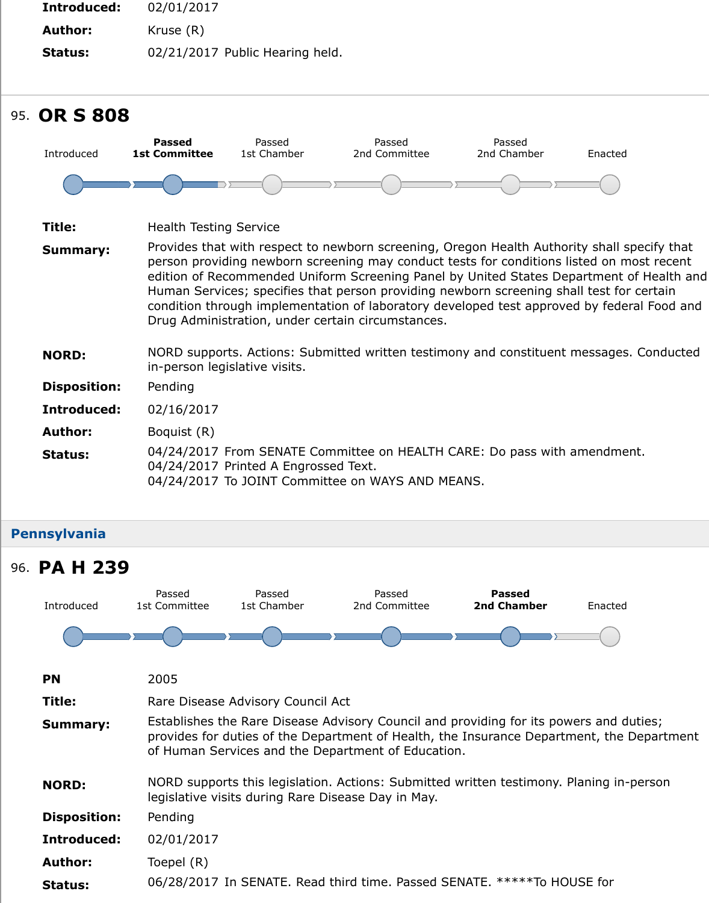| Introduced          | <b>Passed</b><br><b>1st Committee</b> | Passed<br>1st Chamber                | Passed<br>2nd Committee                                                                                                                                                                                                                                                                                                                                                                                                                               | Passed<br>2nd Chamber | Ena |
|---------------------|---------------------------------------|--------------------------------------|-------------------------------------------------------------------------------------------------------------------------------------------------------------------------------------------------------------------------------------------------------------------------------------------------------------------------------------------------------------------------------------------------------------------------------------------------------|-----------------------|-----|
|                     |                                       |                                      |                                                                                                                                                                                                                                                                                                                                                                                                                                                       |                       |     |
| Title:              | <b>Health Testing Service</b>         |                                      |                                                                                                                                                                                                                                                                                                                                                                                                                                                       |                       |     |
| <b>Summary:</b>     |                                       |                                      | Provides that with respect to newborn screening, Oregon Health Authority sh<br>person providing newborn screening may conduct tests for conditions listed<br>edition of Recommended Uniform Screening Panel by United States Departm<br>Human Services; specifies that person providing newborn screening shall tes<br>condition through implementation of laboratory developed test approved by<br>Drug Administration, under certain circumstances. |                       |     |
| <b>NORD:</b>        |                                       | in-person legislative visits.        | NORD supports. Actions: Submitted written testimony and constituent messi                                                                                                                                                                                                                                                                                                                                                                             |                       |     |
| <b>Disposition:</b> | Pending                               |                                      |                                                                                                                                                                                                                                                                                                                                                                                                                                                       |                       |     |
| Introduced:         | 02/16/2017                            |                                      |                                                                                                                                                                                                                                                                                                                                                                                                                                                       |                       |     |
| <b>Author:</b>      | Boquist (R)                           |                                      |                                                                                                                                                                                                                                                                                                                                                                                                                                                       |                       |     |
| <b>Status:</b>      |                                       | 04/24/2017 Printed A Engrossed Text. | 04/24/2017 From SENATE Committee on HEALTH CARE: Do pass with amen<br>04/24/2017 To JOINT Committee on WAYS AND MEANS.                                                                                                                                                                                                                                                                                                                                |                       |     |

#### **Pennsylvania**

![](_page_37_Figure_2.jpeg)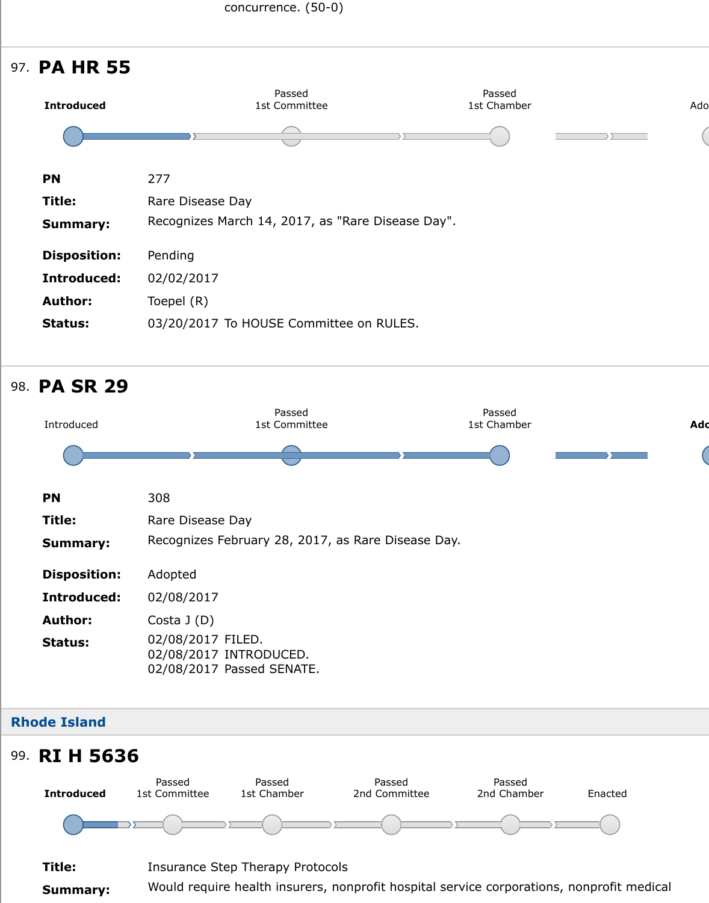| <b>PN</b>           | 277                                               |
|---------------------|---------------------------------------------------|
| Title:              | Rare Disease Day                                  |
| Summary:            | Recognizes March 14, 2017, as "Rare Disease Day". |
| <b>Disposition:</b> | Pending                                           |
| Introduced:         | 02/02/2017                                        |
| <b>Author:</b>      | Toepel (R)                                        |
| <b>Status:</b>      | 03/20/2017 To HOUSE Committee on RULES.           |

# 98. **PA SR 29**

![](_page_38_Figure_3.jpeg)

## **Rhode Island**

# 99. **RI H 5636**

![](_page_38_Figure_6.jpeg)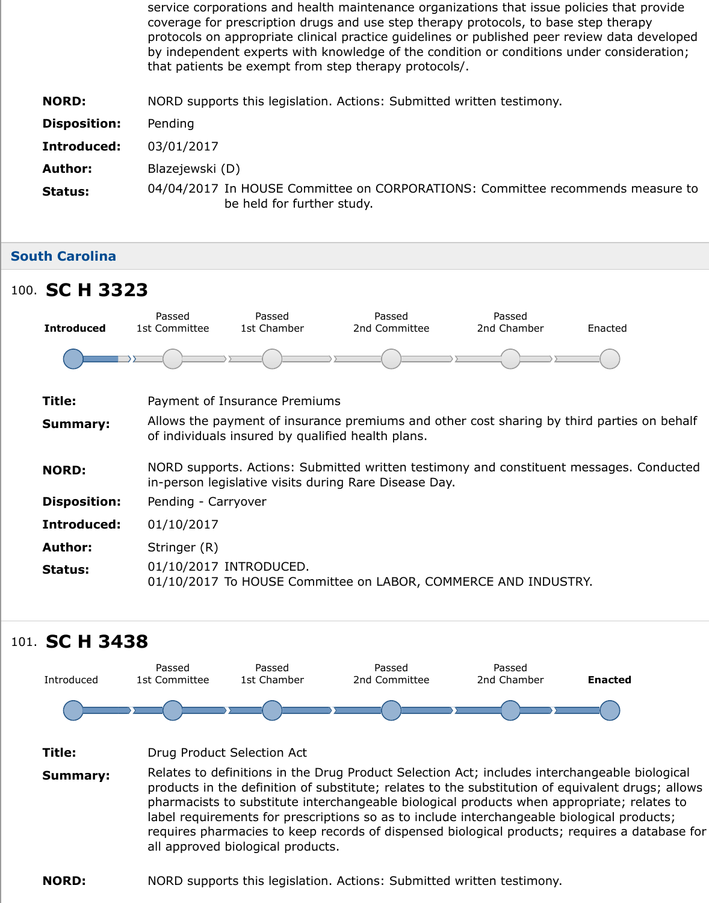| <u> Insposition.</u> | renumu                                                                                         |
|----------------------|------------------------------------------------------------------------------------------------|
| Introduced:          | 03/01/2017                                                                                     |
| <b>Author:</b>       | Blazejewski (D)                                                                                |
| <b>Status:</b>       | 04/04/2017 In HOUSE Committee on CORPORATIONS: Committee recomme<br>be held for further study. |

#### **South Carolina**

# 100. **SC H 332[3](https://sn.lexisnexis.com/secure/pe/sld.cgi?set_display=table&mode=standalone&author_no=836346&ses_id=17-18&billnum=5636)**

![](_page_39_Figure_3.jpeg)

## 101. **SC H 3438**

![](_page_39_Figure_5.jpeg)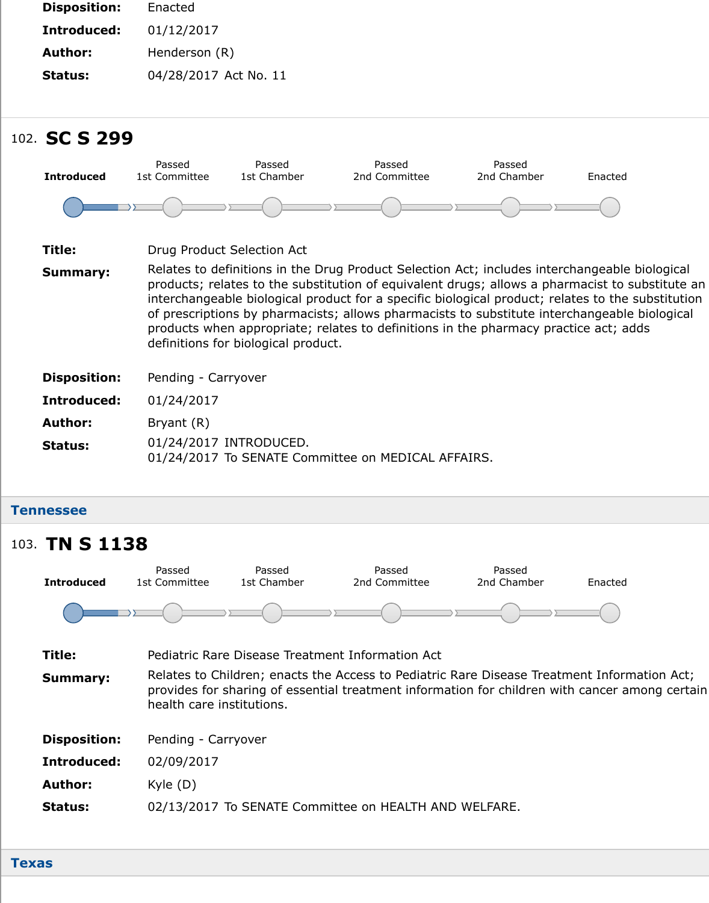# 102. **SC S 299**

![](_page_40_Figure_1.jpeg)

01/24/2017 To SENATE Committee on MEDICAL AFFAIRS.

**Tennessee**

## **Title:** Pediatric Rare Disease Treatment Information Act **Summary:** Relates to Children; enacts the Access to Pediatric Rare Disease Treatment I provides for sharing of essential treatment information for children with canon health care institutions. **Disposition:** Pending - Carryover **Introduced:** 02/09/2017 **Author:** Kyle (D) **Status:** 02/13/2017 To SENATE Committee on HEALTH AND WELFARE. 103. **TN S 113[8](https://sn.lexisnexis.com/secure/pe/sld.cgi?set_display=table&mode=standalone&author_no=830908&ses_id=17-18&billnum=299) Introduced** Passed 1st Committee Passed 1st Chamber Passed 2nd Committee Passed 2nd Chamber Ena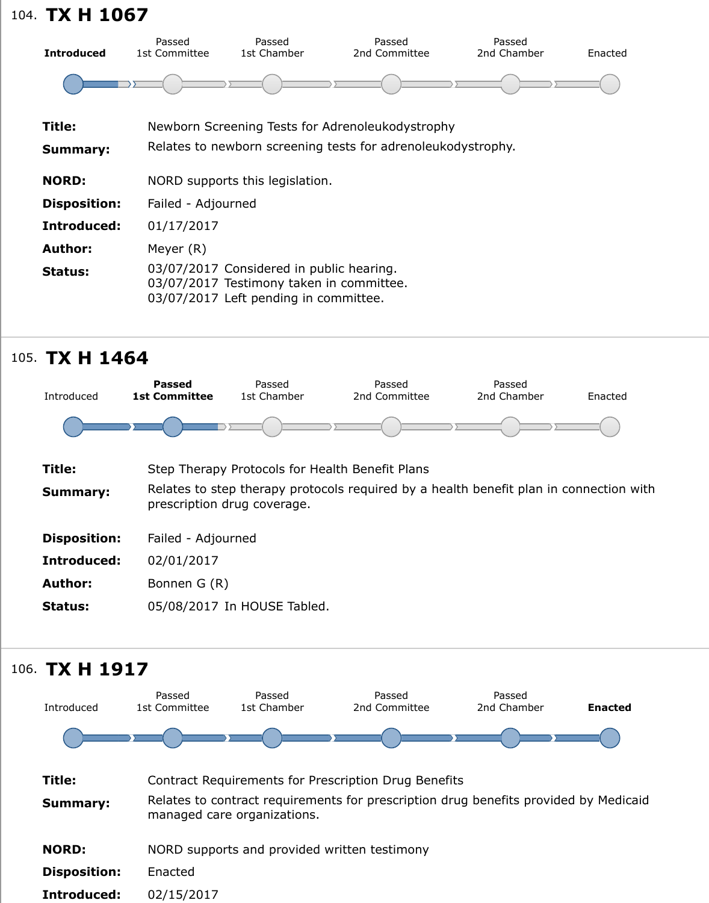| Title:              | Newborn Screening Tests for Adrenoleukodystrophy                                                                              |
|---------------------|-------------------------------------------------------------------------------------------------------------------------------|
| <b>Summary:</b>     | Relates to newborn screening tests for adrenoleukodystrophy.                                                                  |
| <b>NORD:</b>        | NORD supports this legislation.                                                                                               |
| <b>Disposition:</b> | Failed - Adjourned                                                                                                            |
| Introduced:         | 01/17/2017                                                                                                                    |
| <b>Author:</b>      | Meyer (R)                                                                                                                     |
| <b>Status:</b>      | 03/07/2017 Considered in public hearing.<br>03/07/2017 Testimony taken in committee.<br>03/07/2017 Left pending in committee. |

# 105. **TX H 146[4](https://sn.lexisnexis.com/secure/pe/sld.cgi?set_display=table&mode=standalone&author_no=839905&ses_id=17-18&billnum=1067)**

![](_page_41_Figure_2.jpeg)

![](_page_41_Figure_3.jpeg)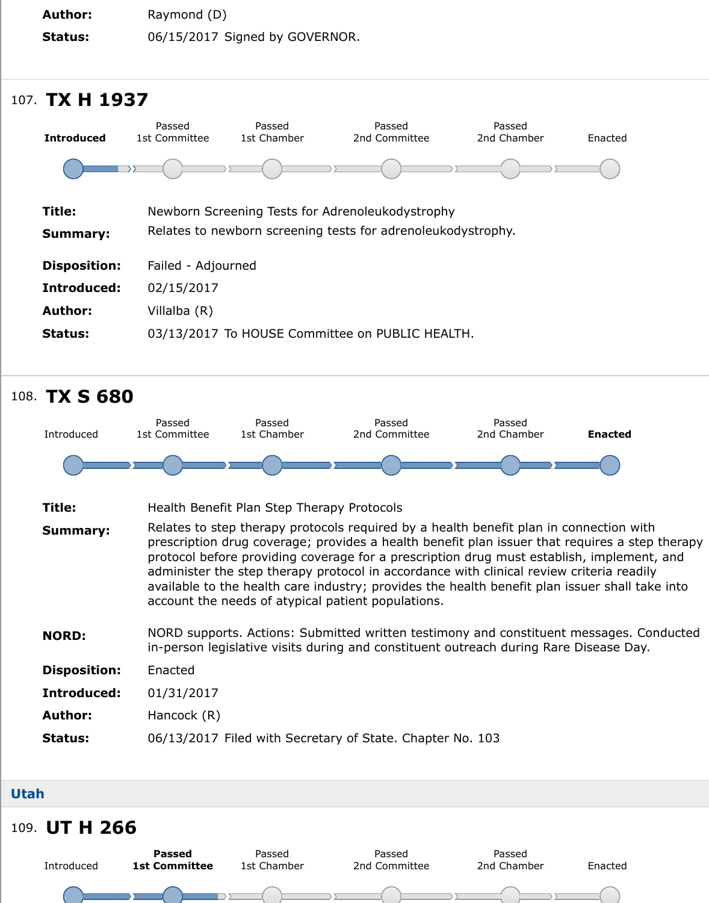|                     | Passed             | Passed      | Passed                                                       | Passed      |     |
|---------------------|--------------------|-------------|--------------------------------------------------------------|-------------|-----|
| <b>Introduced</b>   | 1st Committee      | 1st Chamber | 2nd Committee                                                | 2nd Chamber | Ena |
|                     |                    |             |                                                              |             |     |
| <b>Title:</b>       |                    |             | Newborn Screening Tests for Adrenoleukodystrophy             |             |     |
| <b>Summary:</b>     |                    |             | Relates to newborn screening tests for adrenoleukodystrophy. |             |     |
| <b>Disposition:</b> | Failed - Adjourned |             |                                                              |             |     |
| Introduced:         | 02/15/2017         |             |                                                              |             |     |
| <b>Author:</b>      | Villalba (R)       |             |                                                              |             |     |
| <b>Status:</b>      |                    |             | 03/13/2017 To HOUSE Committee on PUBLIC HEALTH.              |             |     |
|                     |                    |             |                                                              |             |     |

![](_page_42_Figure_1.jpeg)

- **Title:** Health Benefit Plan Step Therapy Protocols
- **Summary:** Relates to step therapy protocols required by a health benefit plan in conned prescription drug coverage; provides a health benefit plan issuer that require protocol before providing coverage for a prescription drug must establish, in administer the step therapy protocol in accordance with clinical review criter available to the health care industry; provides the health benefit plan issuer account the needs of atypical patient populations.
- **NORD:** NORD supports. Actions: Submitted written testimony and constituent mess in-person legislative visits during and constituent outreach during Rare Disea
- **Disposition:** Enacted
- **Introduced:** 01/31/2017
- **Author:** Hancock (R)
- **Status:** 06/13/2017 Filed with Secretary of State. Chapter No. 103

#### **Utah**

![](_page_42_Figure_10.jpeg)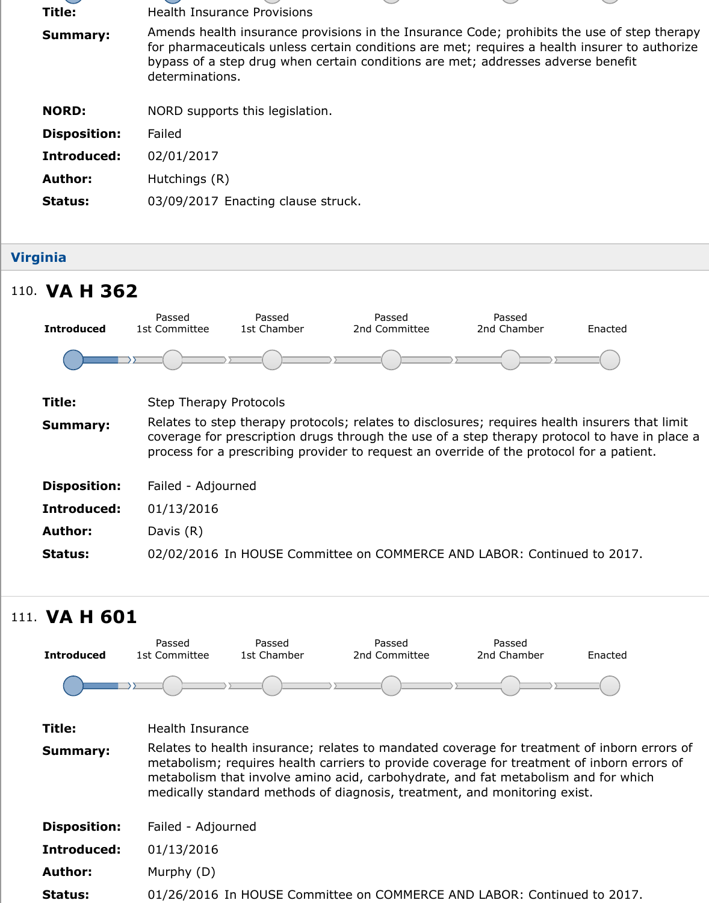| <b>Disposition:</b> | Failed                             |
|---------------------|------------------------------------|
| Introduced:         | 02/01/2017                         |
| <b>Author:</b>      | Hutchings (R)                      |
| <b>Status:</b>      | 03/09/2017 Enacting clause struck. |

## **Virginia**

# 110. **VA H 362**

![](_page_43_Figure_3.jpeg)

# 111. **VA H 601**

![](_page_43_Figure_5.jpeg)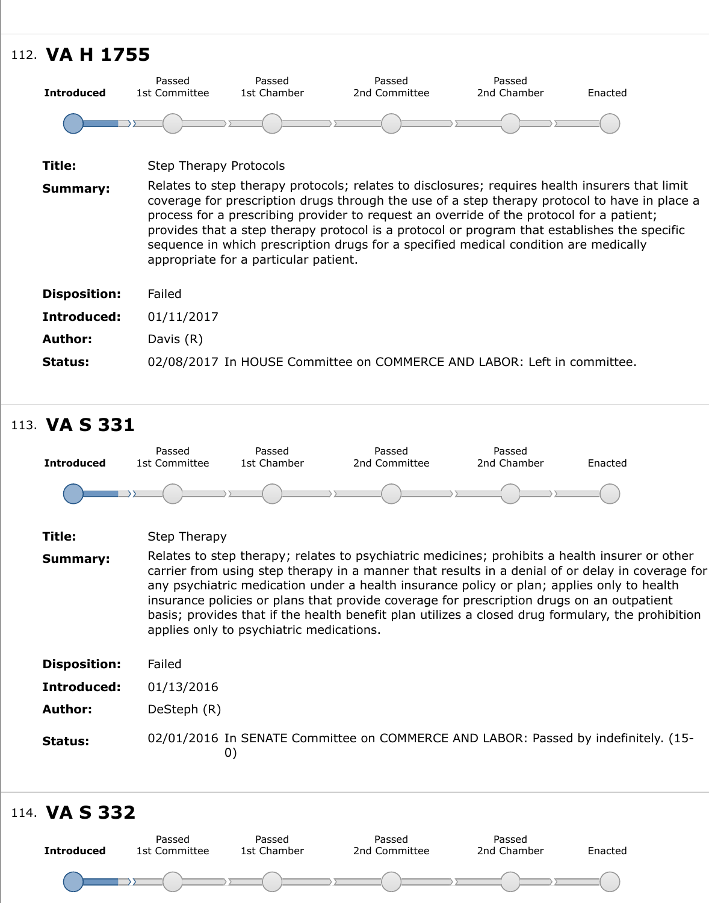| Title:              | Step Therapy Protocols                                                                                                                                                                                                                                                                                                                                                                                                                                         |
|---------------------|----------------------------------------------------------------------------------------------------------------------------------------------------------------------------------------------------------------------------------------------------------------------------------------------------------------------------------------------------------------------------------------------------------------------------------------------------------------|
| <b>Summary:</b>     | Relates to step therapy protocols; relates to disclosures; requires health insul<br>coverage for prescription drugs through the use of a step therapy protocol to<br>process for a prescribing provider to request an override of the protocol for a<br>provides that a step therapy protocol is a protocol or program that establish<br>sequence in which prescription drugs for a specified medical condition are m<br>appropriate for a particular patient. |
| <b>Disposition:</b> | Failed                                                                                                                                                                                                                                                                                                                                                                                                                                                         |
| Introduced:         | 01/11/2017                                                                                                                                                                                                                                                                                                                                                                                                                                                     |
| <b>Author:</b>      | Davis $(R)$                                                                                                                                                                                                                                                                                                                                                                                                                                                    |
| <b>Status:</b>      | 02/08/2017 In HOUSE Committee on COMMERCE AND LABOR: Left in comm                                                                                                                                                                                                                                                                                                                                                                                              |
|                     |                                                                                                                                                                                                                                                                                                                                                                                                                                                                |

## 113. **VA S 331**

![](_page_44_Figure_3.jpeg)

# 114. **VA S 332**

![](_page_44_Figure_5.jpeg)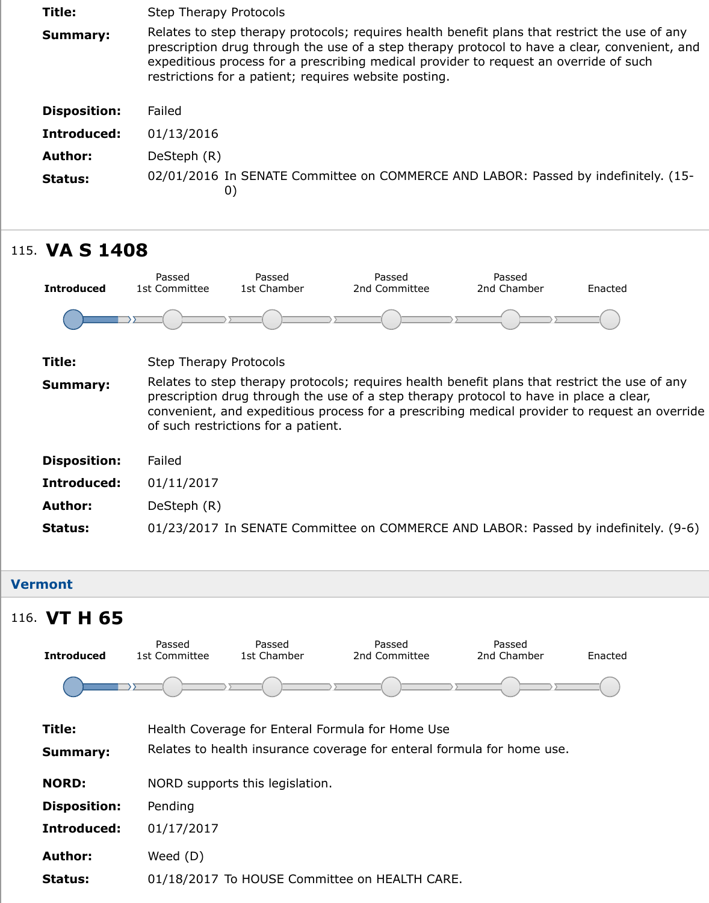| Introduced:    | 01/13/2016                                                         |
|----------------|--------------------------------------------------------------------|
| Author:        | DeSteph (R)                                                        |
| <b>Status:</b> | 02/01/2016 In SENATE Committee on COMMERCE AND LABOR: Passed by in |

![](_page_45_Figure_1.jpeg)

#### **Vermont**

## 116. **VT H 65**

![](_page_45_Figure_4.jpeg)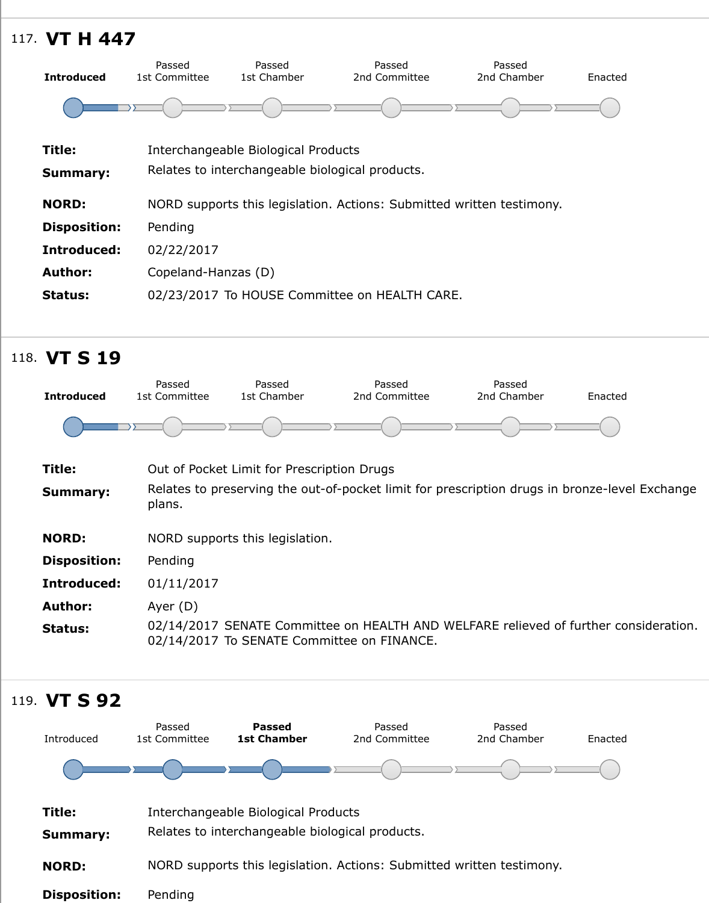| Title:              | Interchangeable Biological Products                                   |
|---------------------|-----------------------------------------------------------------------|
| <b>Summary:</b>     | Relates to interchangeable biological products.                       |
| <b>NORD:</b>        | NORD supports this legislation. Actions: Submitted written testimony. |
| <b>Disposition:</b> | Pending                                                               |
| Introduced:         | 02/22/2017                                                            |
| <b>Author:</b>      | Copeland-Hanzas (D)                                                   |
| <b>Status:</b>      | 02/23/2017 To HOUSE Committee on HEALTH CARE.                         |

## 118. **VT S 19**

![](_page_46_Figure_2.jpeg)

![](_page_46_Figure_3.jpeg)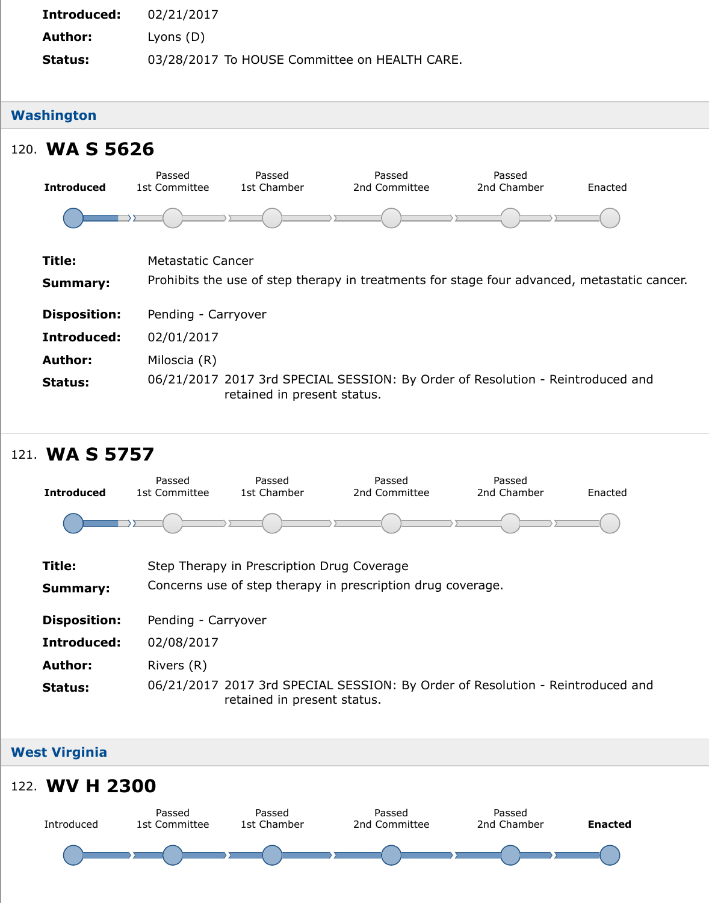| 120. WA S 5626      |                         |                             |                                                                              |                       |     |
|---------------------|-------------------------|-----------------------------|------------------------------------------------------------------------------|-----------------------|-----|
| <b>Introduced</b>   | Passed<br>1st Committee | Passed<br>1st Chamber       | Passed<br>2nd Committee                                                      | Passed<br>2nd Chamber | Ena |
|                     |                         |                             |                                                                              |                       |     |
| Title:              | Metastatic Cancer       |                             |                                                                              |                       |     |
| <b>Summary:</b>     |                         |                             | Prohibits the use of step therapy in treatments for stage four advanced, met |                       |     |
| <b>Disposition:</b> | Pending - Carryover     |                             |                                                                              |                       |     |
| Introduced:         | 02/01/2017              |                             |                                                                              |                       |     |
| <b>Author:</b>      | Miloscia (R)            |                             |                                                                              |                       |     |
| <b>Status:</b>      |                         | retained in present status. | 06/21/2017 2017 3rd SPECIAL SESSION: By Order of Resolution - Reintrodu      |                       |     |

![](_page_47_Figure_1.jpeg)

## **West Virginia**

## 122. **WV H 230[0](https://sn.lexisnexis.com/secure/pe/sld.cgi?set_display=table&mode=standalone&author_no=836761&ses_id=17-18&billnum=5757)**

![](_page_47_Figure_4.jpeg)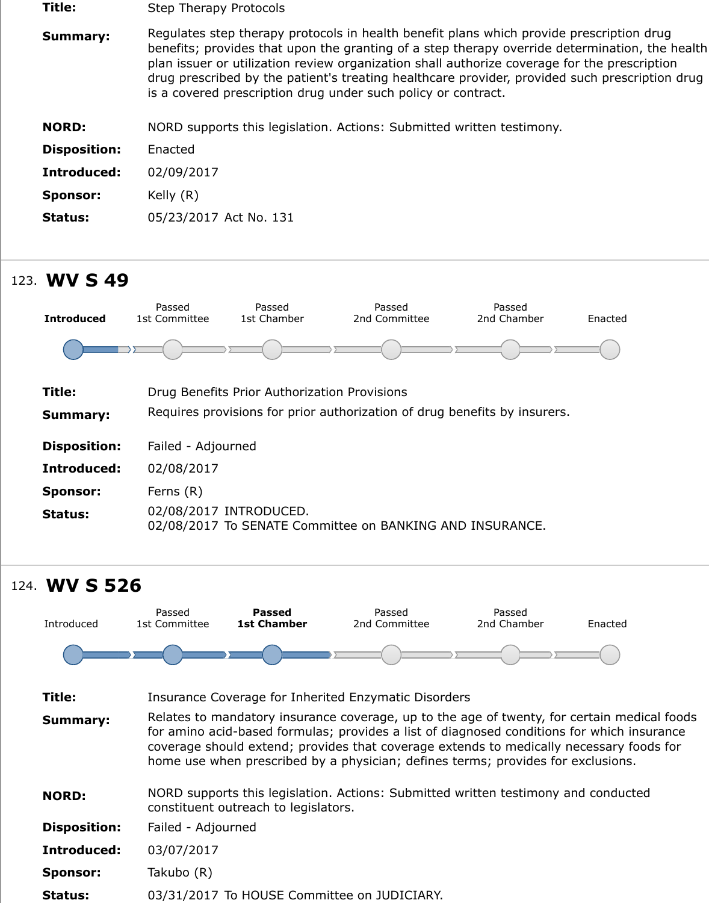| <b>NORD:</b>    | NORD supports this legislation. Actions: Submitted written testimony. |
|-----------------|-----------------------------------------------------------------------|
| Disposition:    | Enacted                                                               |
| Introduced:     | 02/09/2017                                                            |
| <b>Sponsor:</b> | Kelly $(R)$                                                           |
| <b>Status:</b>  | 05/23/2017 Act No. 131                                                |

## 123. **WV S 49**

![](_page_48_Figure_2.jpeg)

## 124. **WV S 526**

![](_page_48_Figure_4.jpeg)